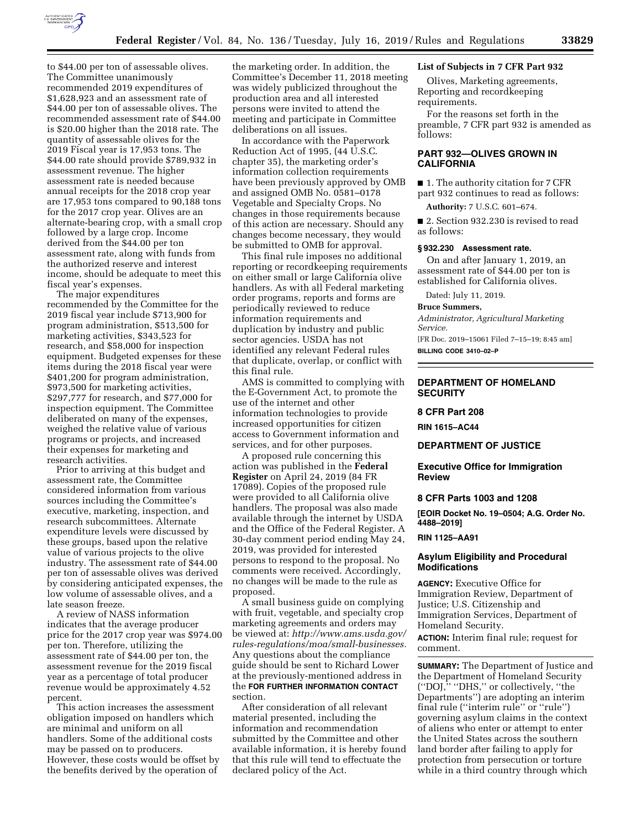

to \$44.00 per ton of assessable olives. The Committee unanimously recommended 2019 expenditures of \$1,628,923 and an assessment rate of \$44.00 per ton of assessable olives. The recommended assessment rate of \$44.00 is \$20.00 higher than the 2018 rate. The quantity of assessable olives for the 2019 Fiscal year is 17,953 tons. The \$44.00 rate should provide \$789,932 in assessment revenue. The higher assessment rate is needed because annual receipts for the 2018 crop year are 17,953 tons compared to 90,188 tons for the 2017 crop year. Olives are an alternate-bearing crop, with a small crop followed by a large crop. Income derived from the \$44.00 per ton assessment rate, along with funds from the authorized reserve and interest income, should be adequate to meet this fiscal year's expenses.

The major expenditures recommended by the Committee for the 2019 fiscal year include \$713,900 for program administration, \$513,500 for marketing activities, \$343,523 for research, and \$58,000 for inspection equipment. Budgeted expenses for these items during the 2018 fiscal year were \$401,200 for program administration, \$973,500 for marketing activities, \$297,777 for research, and \$77,000 for inspection equipment. The Committee deliberated on many of the expenses, weighed the relative value of various programs or projects, and increased their expenses for marketing and research activities.

Prior to arriving at this budget and assessment rate, the Committee considered information from various sources including the Committee's executive, marketing, inspection, and research subcommittees. Alternate expenditure levels were discussed by these groups, based upon the relative value of various projects to the olive industry. The assessment rate of \$44.00 per ton of assessable olives was derived by considering anticipated expenses, the low volume of assessable olives, and a late season freeze.

A review of NASS information indicates that the average producer price for the 2017 crop year was \$974.00 per ton. Therefore, utilizing the assessment rate of \$44.00 per ton, the assessment revenue for the 2019 fiscal year as a percentage of total producer revenue would be approximately 4.52 percent.

This action increases the assessment obligation imposed on handlers which are minimal and uniform on all handlers. Some of the additional costs may be passed on to producers. However, these costs would be offset by the benefits derived by the operation of

the marketing order. In addition, the Committee's December 11, 2018 meeting was widely publicized throughout the production area and all interested persons were invited to attend the meeting and participate in Committee deliberations on all issues.

In accordance with the Paperwork Reduction Act of 1995, (44 U.S.C. chapter 35), the marketing order's information collection requirements have been previously approved by OMB and assigned OMB No. 0581–0178 Vegetable and Specialty Crops. No changes in those requirements because of this action are necessary. Should any changes become necessary, they would be submitted to OMB for approval.

This final rule imposes no additional reporting or recordkeeping requirements on either small or large California olive handlers. As with all Federal marketing order programs, reports and forms are periodically reviewed to reduce information requirements and duplication by industry and public sector agencies. USDA has not identified any relevant Federal rules that duplicate, overlap, or conflict with this final rule.

AMS is committed to complying with the E-Government Act, to promote the use of the internet and other information technologies to provide increased opportunities for citizen access to Government information and services, and for other purposes.

A proposed rule concerning this action was published in the **Federal Register** on April 24, 2019 (84 FR 17089). Copies of the proposed rule were provided to all California olive handlers. The proposal was also made available through the internet by USDA and the Office of the Federal Register. A 30-day comment period ending May 24, 2019, was provided for interested persons to respond to the proposal. No comments were received. Accordingly, no changes will be made to the rule as proposed.

A small business guide on complying with fruit, vegetable, and specialty crop marketing agreements and orders may be viewed at: *[http://www.ams.usda.gov/](http://www.ams.usda.gov/rules-regulations/moa/small-businesses) [rules-regulations/moa/small-businesses.](http://www.ams.usda.gov/rules-regulations/moa/small-businesses)*  Any questions about the compliance guide should be sent to Richard Lower at the previously-mentioned address in the **FOR FURTHER INFORMATION CONTACT** section.

After consideration of all relevant material presented, including the information and recommendation submitted by the Committee and other available information, it is hereby found that this rule will tend to effectuate the declared policy of the Act.

# **List of Subjects in 7 CFR Part 932**

Olives, Marketing agreements, Reporting and recordkeeping requirements.

For the reasons set forth in the preamble, 7 CFR part 932 is amended as follows:

# **PART 932—OLIVES GROWN IN CALIFORNIA**

■ 1. The authority citation for 7 CFR part 932 continues to read as follows:

**Authority:** 7 U.S.C. 601–674.

■ 2. Section 932.230 is revised to read as follows:

#### **§ 932.230 Assessment rate.**

On and after January 1, 2019, an assessment rate of \$44.00 per ton is established for California olives.

Dated: July 11, 2019.

#### **Bruce Summers,**

*Administrator, Agricultural Marketing Service.* 

[FR Doc. 2019–15061 Filed 7–15–19; 8:45 am] **BILLING CODE 3410–02–P** 

## **DEPARTMENT OF HOMELAND SECURITY**

#### **8 CFR Part 208**

**RIN 1615–AC44** 

#### **DEPARTMENT OF JUSTICE**

## **Executive Office for Immigration Review**

#### **8 CFR Parts 1003 and 1208**

**[EOIR Docket No. 19–0504; A.G. Order No. 4488–2019]** 

#### **RIN 1125–AA91**

# **Asylum Eligibility and Procedural Modifications**

**AGENCY:** Executive Office for Immigration Review, Department of Justice; U.S. Citizenship and Immigration Services, Department of Homeland Security.

**ACTION:** Interim final rule; request for comment.

**SUMMARY:** The Department of Justice and the Department of Homeland Security (''DOJ,'' ''DHS,'' or collectively, ''the Departments'') are adopting an interim final rule (''interim rule'' or ''rule'') governing asylum claims in the context of aliens who enter or attempt to enter the United States across the southern land border after failing to apply for protection from persecution or torture while in a third country through which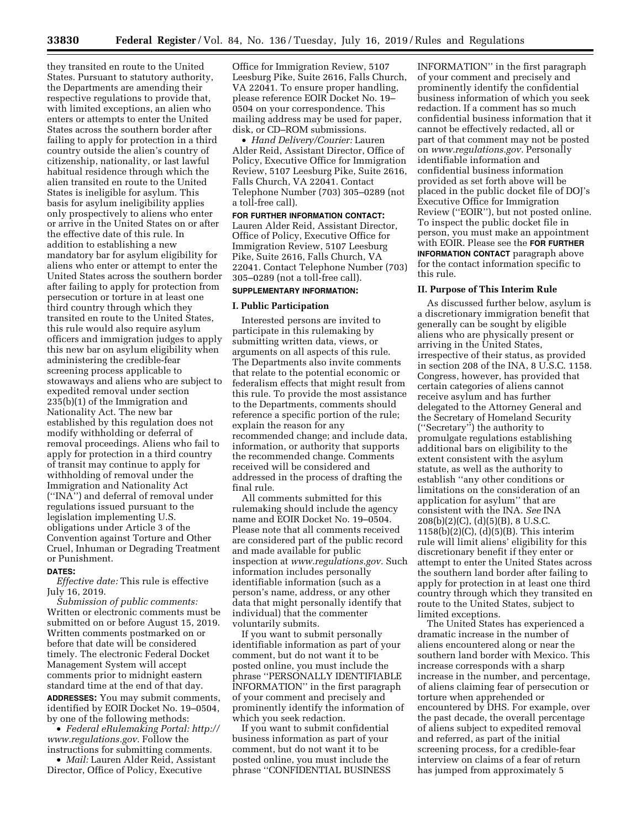they transited en route to the United States. Pursuant to statutory authority, the Departments are amending their respective regulations to provide that, with limited exceptions, an alien who enters or attempts to enter the United States across the southern border after failing to apply for protection in a third country outside the alien's country of citizenship, nationality, or last lawful habitual residence through which the alien transited en route to the United States is ineligible for asylum. This basis for asylum ineligibility applies only prospectively to aliens who enter or arrive in the United States on or after the effective date of this rule. In addition to establishing a new mandatory bar for asylum eligibility for aliens who enter or attempt to enter the United States across the southern border after failing to apply for protection from persecution or torture in at least one third country through which they transited en route to the United States, this rule would also require asylum officers and immigration judges to apply this new bar on asylum eligibility when administering the credible-fear screening process applicable to stowaways and aliens who are subject to expedited removal under section 235(b)(1) of the Immigration and Nationality Act. The new bar established by this regulation does not modify withholding or deferral of removal proceedings. Aliens who fail to apply for protection in a third country of transit may continue to apply for withholding of removal under the Immigration and Nationality Act (''INA'') and deferral of removal under regulations issued pursuant to the legislation implementing U.S. obligations under Article 3 of the Convention against Torture and Other Cruel, Inhuman or Degrading Treatment or Punishment.

#### **DATES:**

*Effective date:* This rule is effective July 16, 2019.

*Submission of public comments:*  Written or electronic comments must be submitted on or before August 15, 2019. Written comments postmarked on or before that date will be considered timely. The electronic Federal Docket Management System will accept comments prior to midnight eastern standard time at the end of that day.

**ADDRESSES:** You may submit comments, identified by EOIR Docket No. 19–0504, by one of the following methods:

• *Federal eRulemaking Portal: [http://](http://www.regulations.gov)  [www.regulations.gov.](http://www.regulations.gov)* Follow the instructions for submitting comments.

• *Mail:* Lauren Alder Reid, Assistant Director, Office of Policy, Executive

Office for Immigration Review, 5107 Leesburg Pike, Suite 2616, Falls Church, VA 22041. To ensure proper handling, please reference EOIR Docket No. 19– 0504 on your correspondence. This mailing address may be used for paper, disk, or CD–ROM submissions.

• *Hand Delivery/Courier:* Lauren Alder Reid, Assistant Director, Office of Policy, Executive Office for Immigration Review, 5107 Leesburg Pike, Suite 2616, Falls Church, VA 22041. Contact Telephone Number (703) 305–0289 (not a toll-free call).

# **FOR FURTHER INFORMATION CONTACT:**

Lauren Alder Reid, Assistant Director, Office of Policy, Executive Office for Immigration Review, 5107 Leesburg Pike, Suite 2616, Falls Church, VA 22041. Contact Telephone Number (703) 305–0289 (not a toll-free call).

# **SUPPLEMENTARY INFORMATION:**

## **I. Public Participation**

Interested persons are invited to participate in this rulemaking by submitting written data, views, or arguments on all aspects of this rule. The Departments also invite comments that relate to the potential economic or federalism effects that might result from this rule. To provide the most assistance to the Departments, comments should reference a specific portion of the rule; explain the reason for any recommended change; and include data, information, or authority that supports the recommended change. Comments received will be considered and addressed in the process of drafting the final rule.

All comments submitted for this rulemaking should include the agency name and EOIR Docket No. 19–0504. Please note that all comments received are considered part of the public record and made available for public inspection at *[www.regulations.gov.](http://www.regulations.gov)* Such information includes personally identifiable information (such as a person's name, address, or any other data that might personally identify that individual) that the commenter voluntarily submits.

If you want to submit personally identifiable information as part of your comment, but do not want it to be posted online, you must include the phrase ''PERSONALLY IDENTIFIABLE INFORMATION'' in the first paragraph of your comment and precisely and prominently identify the information of which you seek redaction.

If you want to submit confidential business information as part of your comment, but do not want it to be posted online, you must include the phrase ''CONFIDENTIAL BUSINESS

INFORMATION'' in the first paragraph of your comment and precisely and prominently identify the confidential business information of which you seek redaction. If a comment has so much confidential business information that it cannot be effectively redacted, all or part of that comment may not be posted on *[www.regulations.gov.](http://www.regulations.gov)* Personally identifiable information and confidential business information provided as set forth above will be placed in the public docket file of DOJ's Executive Office for Immigration Review (''EOIR''), but not posted online. To inspect the public docket file in person, you must make an appointment with EOIR. Please see the **FOR FURTHER INFORMATION CONTACT** paragraph above for the contact information specific to this rule.

#### **II. Purpose of This Interim Rule**

As discussed further below, asylum is a discretionary immigration benefit that generally can be sought by eligible aliens who are physically present or arriving in the United States, irrespective of their status, as provided in section 208 of the INA, 8 U.S.C. 1158. Congress, however, has provided that certain categories of aliens cannot receive asylum and has further delegated to the Attorney General and the Secretary of Homeland Security (''Secretary'') the authority to promulgate regulations establishing additional bars on eligibility to the extent consistent with the asylum statute, as well as the authority to establish ''any other conditions or limitations on the consideration of an application for asylum'' that are consistent with the INA. *See* INA 208(b)(2)(C), (d)(5)(B), 8 U.S.C. 1158(b)(2)(C), (d)(5)(B). This interim rule will limit aliens' eligibility for this discretionary benefit if they enter or attempt to enter the United States across the southern land border after failing to apply for protection in at least one third country through which they transited en route to the United States, subject to limited exceptions.

The United States has experienced a dramatic increase in the number of aliens encountered along or near the southern land border with Mexico. This increase corresponds with a sharp increase in the number, and percentage, of aliens claiming fear of persecution or torture when apprehended or encountered by DHS. For example, over the past decade, the overall percentage of aliens subject to expedited removal and referred, as part of the initial screening process, for a credible-fear interview on claims of a fear of return has jumped from approximately 5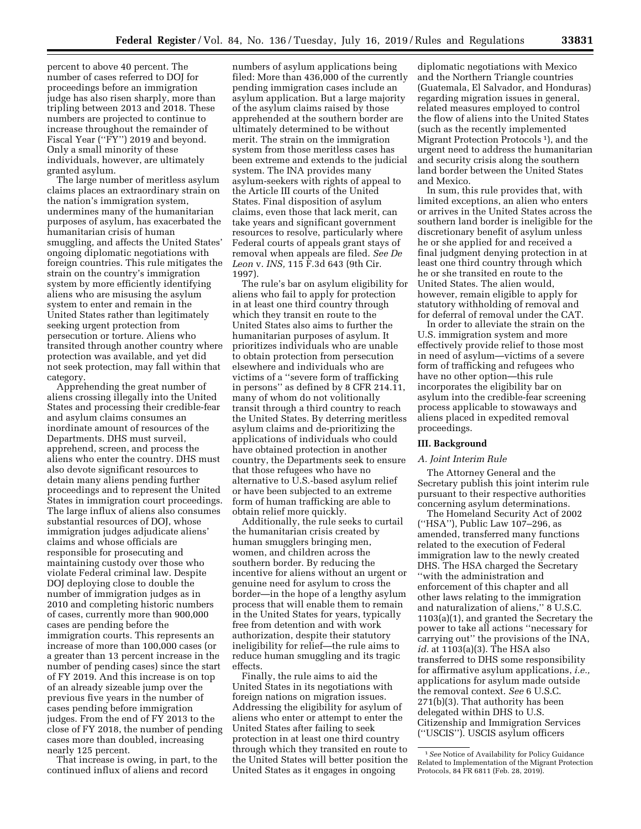percent to above 40 percent. The number of cases referred to DOJ for proceedings before an immigration judge has also risen sharply, more than tripling between 2013 and 2018. These numbers are projected to continue to increase throughout the remainder of Fiscal Year ("FY") 2019 and beyond. Only a small minority of these individuals, however, are ultimately granted asylum.

The large number of meritless asylum claims places an extraordinary strain on the nation's immigration system, undermines many of the humanitarian purposes of asylum, has exacerbated the humanitarian crisis of human smuggling, and affects the United States' ongoing diplomatic negotiations with foreign countries. This rule mitigates the strain on the country's immigration system by more efficiently identifying aliens who are misusing the asylum system to enter and remain in the United States rather than legitimately seeking urgent protection from persecution or torture. Aliens who transited through another country where protection was available, and yet did not seek protection, may fall within that category.

Apprehending the great number of aliens crossing illegally into the United States and processing their credible-fear and asylum claims consumes an inordinate amount of resources of the Departments. DHS must surveil, apprehend, screen, and process the aliens who enter the country. DHS must also devote significant resources to detain many aliens pending further proceedings and to represent the United States in immigration court proceedings. The large influx of aliens also consumes substantial resources of DOJ, whose immigration judges adjudicate aliens' claims and whose officials are responsible for prosecuting and maintaining custody over those who violate Federal criminal law. Despite DOJ deploying close to double the number of immigration judges as in 2010 and completing historic numbers of cases, currently more than 900,000 cases are pending before the immigration courts. This represents an increase of more than 100,000 cases (or a greater than 13 percent increase in the number of pending cases) since the start of FY 2019. And this increase is on top of an already sizeable jump over the previous five years in the number of cases pending before immigration judges. From the end of FY 2013 to the close of FY 2018, the number of pending cases more than doubled, increasing nearly 125 percent.

That increase is owing, in part, to the continued influx of aliens and record

numbers of asylum applications being filed: More than 436,000 of the currently pending immigration cases include an asylum application. But a large majority of the asylum claims raised by those apprehended at the southern border are ultimately determined to be without merit. The strain on the immigration system from those meritless cases has been extreme and extends to the judicial system. The INA provides many asylum-seekers with rights of appeal to the Article III courts of the United States. Final disposition of asylum claims, even those that lack merit, can take years and significant government resources to resolve, particularly where Federal courts of appeals grant stays of removal when appeals are filed. *See De Leon* v. *INS,* 115 F.3d 643 (9th Cir. 1997).

The rule's bar on asylum eligibility for aliens who fail to apply for protection in at least one third country through which they transit en route to the United States also aims to further the humanitarian purposes of asylum. It prioritizes individuals who are unable to obtain protection from persecution elsewhere and individuals who are victims of a ''severe form of trafficking in persons'' as defined by 8 CFR 214.11, many of whom do not volitionally transit through a third country to reach the United States. By deterring meritless asylum claims and de-prioritizing the applications of individuals who could have obtained protection in another country, the Departments seek to ensure that those refugees who have no alternative to U.S.-based asylum relief or have been subjected to an extreme form of human trafficking are able to obtain relief more quickly.

Additionally, the rule seeks to curtail the humanitarian crisis created by human smugglers bringing men, women, and children across the southern border. By reducing the incentive for aliens without an urgent or genuine need for asylum to cross the border—in the hope of a lengthy asylum process that will enable them to remain in the United States for years, typically free from detention and with work authorization, despite their statutory ineligibility for relief—the rule aims to reduce human smuggling and its tragic effects.

Finally, the rule aims to aid the United States in its negotiations with foreign nations on migration issues. Addressing the eligibility for asylum of aliens who enter or attempt to enter the United States after failing to seek protection in at least one third country through which they transited en route to the United States will better position the United States as it engages in ongoing

diplomatic negotiations with Mexico and the Northern Triangle countries (Guatemala, El Salvador, and Honduras) regarding migration issues in general, related measures employed to control the flow of aliens into the United States (such as the recently implemented Migrant Protection Protocols 1), and the urgent need to address the humanitarian and security crisis along the southern land border between the United States and Mexico.

In sum, this rule provides that, with limited exceptions, an alien who enters or arrives in the United States across the southern land border is ineligible for the discretionary benefit of asylum unless he or she applied for and received a final judgment denying protection in at least one third country through which he or she transited en route to the United States. The alien would, however, remain eligible to apply for statutory withholding of removal and for deferral of removal under the CAT.

In order to alleviate the strain on the U.S. immigration system and more effectively provide relief to those most in need of asylum—victims of a severe form of trafficking and refugees who have no other option—this rule incorporates the eligibility bar on asylum into the credible-fear screening process applicable to stowaways and aliens placed in expedited removal proceedings.

## **III. Background**

# *A. Joint Interim Rule*

The Attorney General and the Secretary publish this joint interim rule pursuant to their respective authorities concerning asylum determinations.

The Homeland Security Act of 2002 (''HSA''), Public Law 107–296, as amended, transferred many functions related to the execution of Federal immigration law to the newly created DHS. The HSA charged the Secretary ''with the administration and enforcement of this chapter and all other laws relating to the immigration and naturalization of aliens,'' 8 U.S.C. 1103(a)(1), and granted the Secretary the power to take all actions ''necessary for carrying out'' the provisions of the INA, *id.* at 1103(a)(3). The HSA also transferred to DHS some responsibility for affirmative asylum applications, *i.e.,*  applications for asylum made outside the removal context. *See* 6 U.S.C. 271(b)(3). That authority has been delegated within DHS to U.S. Citizenship and Immigration Services (''USCIS''). USCIS asylum officers

<sup>1</sup>*See* Notice of Availability for Policy Guidance Related to Implementation of the Migrant Protection Protocols, 84 FR 6811 (Feb. 28, 2019).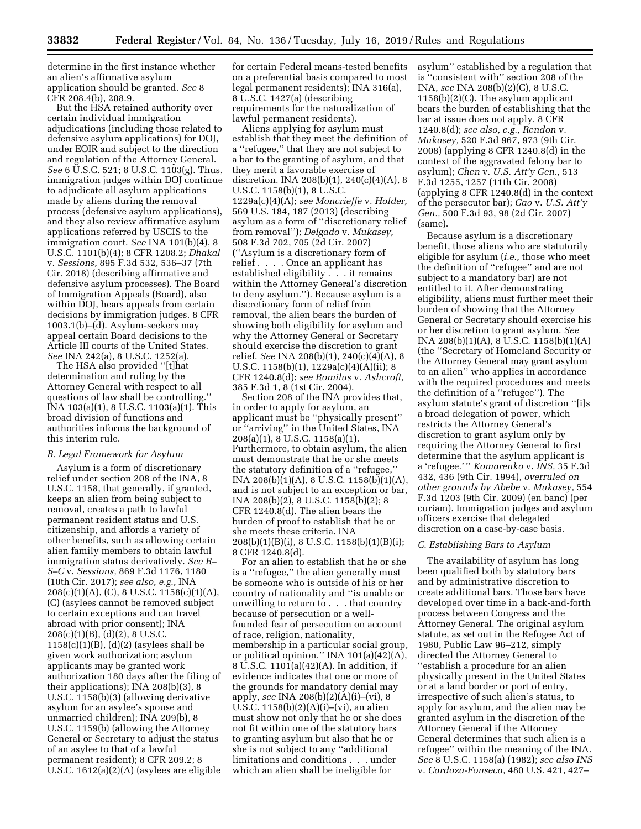determine in the first instance whether an alien's affirmative asylum application should be granted. *See* 8 CFR 208.4(b), 208.9.

But the HSA retained authority over certain individual immigration adjudications (including those related to defensive asylum applications) for DOJ, under EOIR and subject to the direction and regulation of the Attorney General. *See* 6 U.S.C. 521; 8 U.S.C. 1103(g). Thus, immigration judges within DOJ continue to adjudicate all asylum applications made by aliens during the removal process (defensive asylum applications), and they also review affirmative asylum applications referred by USCIS to the immigration court. *See* INA 101(b)(4), 8 U.S.C. 1101(b)(4); 8 CFR 1208.2; *Dhakal*  v. *Sessions,* 895 F.3d 532, 536–37 (7th Cir. 2018) (describing affirmative and defensive asylum processes). The Board of Immigration Appeals (Board), also within DOJ, hears appeals from certain decisions by immigration judges. 8 CFR 1003.1(b)–(d). Asylum-seekers may appeal certain Board decisions to the Article III courts of the United States. *See* INA 242(a), 8 U.S.C. 1252(a).

The HSA also provided ''[t]hat determination and ruling by the Attorney General with respect to all questions of law shall be controlling.'' INA 103(a)(1), 8 U.S.C. 1103(a)(1). This broad division of functions and authorities informs the background of this interim rule.

#### *B. Legal Framework for Asylum*

Asylum is a form of discretionary relief under section 208 of the INA, 8 U.S.C. 1158, that generally, if granted, keeps an alien from being subject to removal, creates a path to lawful permanent resident status and U.S. citizenship, and affords a variety of other benefits, such as allowing certain alien family members to obtain lawful immigration status derivatively. *See R– S–C* v. *Sessions,* 869 F.3d 1176, 1180 (10th Cir. 2017); *see also, e.g.,* INA 208(c)(1)(A), (C), 8 U.S.C. 1158(c)(1)(A), (C) (asylees cannot be removed subject to certain exceptions and can travel abroad with prior consent); INA 208(c)(1)(B), (d)(2), 8 U.S.C.  $1158(c)(1)(B)$ , (d)(2) (asylees shall be given work authorization; asylum applicants may be granted work authorization 180 days after the filing of their applications); INA 208(b)(3), 8 U.S.C. 1158(b)(3) (allowing derivative asylum for an asylee's spouse and unmarried children); INA 209(b), 8 U.S.C. 1159(b) (allowing the Attorney General or Secretary to adjust the status of an asylee to that of a lawful permanent resident); 8 CFR 209.2; 8 U.S.C. 1612(a)(2)(A) (asylees are eligible

for certain Federal means-tested benefits on a preferential basis compared to most legal permanent residents); INA 316(a), 8 U.S.C. 1427(a) (describing requirements for the naturalization of lawful permanent residents).

Aliens applying for asylum must establish that they meet the definition of a ''refugee,'' that they are not subject to a bar to the granting of asylum, and that they merit a favorable exercise of discretion. INA 208(b)(1), 240(c)(4)(A), 8 U.S.C. 1158(b)(1), 8 U.S.C. 1229a(c)(4)(A); *see Moncrieffe* v. *Holder,*  569 U.S. 184, 187 (2013) (describing asylum as a form of ''discretionary relief from removal''); *Delgado* v. *Mukasey,*  508 F.3d 702, 705 (2d Cir. 2007) (''Asylum is a discretionary form of relief . . . . Once an applicant has established eligibility . . . it remains within the Attorney General's discretion to deny asylum.''). Because asylum is a discretionary form of relief from removal, the alien bears the burden of showing both eligibility for asylum and why the Attorney General or Secretary should exercise the discretion to grant relief. *See* INA 208(b)(1), 240(c)(4)(A), 8 U.S.C. 1158(b)(1), 1229a(c)(4)(A)(ii); 8 CFR 1240.8(d); *see Romilus* v. *Ashcroft,*  385 F.3d 1, 8 (1st Cir. 2004).

Section 208 of the INA provides that, in order to apply for asylum, an applicant must be ''physically present'' or ''arriving'' in the United States, INA 208(a)(1), 8 U.S.C. 1158(a)(1). Furthermore, to obtain asylum, the alien must demonstrate that he or she meets the statutory definition of a ''refugee,'' INA 208(b)(1)(A), 8 U.S.C. 1158(b)(1)(A), and is not subject to an exception or bar, INA 208(b)(2), 8 U.S.C. 1158(b)(2); 8 CFR 1240.8(d). The alien bears the burden of proof to establish that he or she meets these criteria. INA 208(b)(1)(B)(i), 8 U.S.C. 1158(b)(1)(B)(i); 8 CFR 1240.8(d).

For an alien to establish that he or she is a ''refugee,'' the alien generally must be someone who is outside of his or her country of nationality and ''is unable or unwilling to return to . . . that country because of persecution or a wellfounded fear of persecution on account of race, religion, nationality, membership in a particular social group, or political opinion.'' INA 101(a)(42)(A), 8 U.S.C. 1101(a)(42)(A). In addition, if evidence indicates that one or more of the grounds for mandatory denial may apply, *see* INA 208(b)(2)(A)(i)–(vi), 8 U.S.C. 1158(b)(2)(A)(i)–(vi), an alien must show not only that he or she does not fit within one of the statutory bars to granting asylum but also that he or she is not subject to any ''additional limitations and conditions . . . under which an alien shall be ineligible for

asylum'' established by a regulation that is ''consistent with'' section 208 of the INA, *see* INA 208(b)(2)(C), 8 U.S.C. 1158(b)(2)(C). The asylum applicant bears the burden of establishing that the bar at issue does not apply. 8 CFR 1240.8(d); *see also, e.g., Rendon* v. *Mukasey,* 520 F.3d 967, 973 (9th Cir. 2008) (applying 8 CFR 1240.8(d) in the context of the aggravated felony bar to asylum); *Chen* v. *U.S. Att'y Gen.,* 513 F.3d 1255, 1257 (11th Cir. 2008) (applying 8 CFR 1240.8(d) in the context of the persecutor bar); *Gao* v. *U.S. Att'y Gen.,* 500 F.3d 93, 98 (2d Cir. 2007) (same).

Because asylum is a discretionary benefit, those aliens who are statutorily eligible for asylum (*i.e.,* those who meet the definition of ''refugee'' and are not subject to a mandatory bar) are not entitled to it. After demonstrating eligibility, aliens must further meet their burden of showing that the Attorney General or Secretary should exercise his or her discretion to grant asylum. *See*  INA 208(b)(1)(A), 8 U.S.C. 1158(b)(1)(A) (the ''Secretary of Homeland Security or the Attorney General may grant asylum to an alien'' who applies in accordance with the required procedures and meets the definition of a ''refugee''). The asylum statute's grant of discretion ''[i]s a broad delegation of power, which restricts the Attorney General's discretion to grant asylum only by requiring the Attorney General to first determine that the asylum applicant is a 'refugee.' '' *Komarenko* v. *INS,* 35 F.3d 432, 436 (9th Cir. 1994), *overruled on other grounds by Abebe* v. *Mukasey,* 554 F.3d 1203 (9th Cir. 2009) (en banc) (per curiam). Immigration judges and asylum officers exercise that delegated discretion on a case-by-case basis.

#### *C. Establishing Bars to Asylum*

The availability of asylum has long been qualified both by statutory bars and by administrative discretion to create additional bars. Those bars have developed over time in a back-and-forth process between Congress and the Attorney General. The original asylum statute, as set out in the Refugee Act of 1980, Public Law 96–212, simply directed the Attorney General to ''establish a procedure for an alien physically present in the United States or at a land border or port of entry, irrespective of such alien's status, to apply for asylum, and the alien may be granted asylum in the discretion of the Attorney General if the Attorney General determines that such alien is a refugee'' within the meaning of the INA. *See* 8 U.S.C. 1158(a) (1982); *see also INS*  v. *Cardoza-Fonseca,* 480 U.S. 421, 427–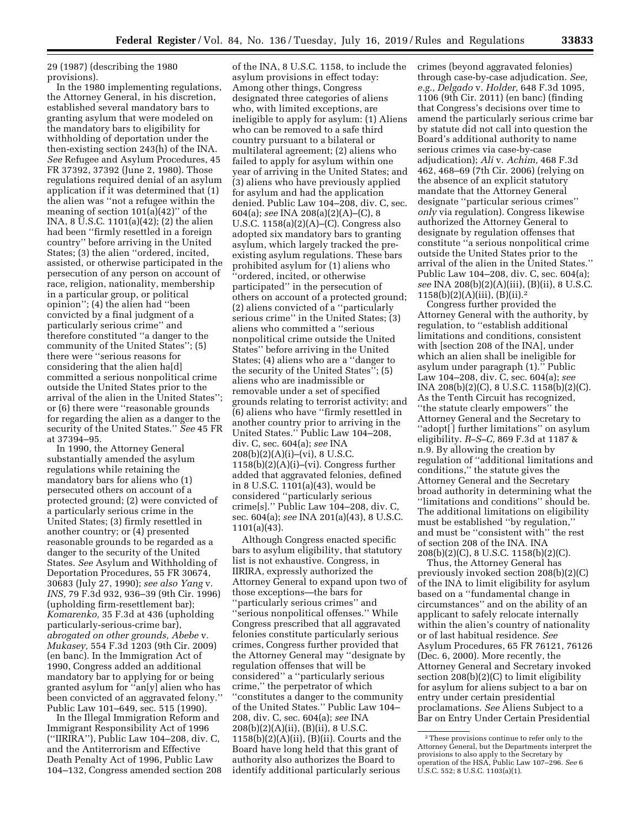29 (1987) (describing the 1980 provisions).

In the 1980 implementing regulations, the Attorney General, in his discretion, established several mandatory bars to granting asylum that were modeled on the mandatory bars to eligibility for withholding of deportation under the then-existing section 243(h) of the INA. *See* Refugee and Asylum Procedures, 45 FR 37392, 37392 (June 2, 1980). Those regulations required denial of an asylum application if it was determined that (1) the alien was ''not a refugee within the meaning of section  $101(a)(42)$ " of the INA, 8  $\bar{U}$ .S.C. 1101(a)(42); (2) the alien had been ''firmly resettled in a foreign country'' before arriving in the United States; (3) the alien ''ordered, incited, assisted, or otherwise participated in the persecution of any person on account of race, religion, nationality, membership in a particular group, or political opinion''; (4) the alien had ''been convicted by a final judgment of a particularly serious crime'' and therefore constituted ''a danger to the community of the United States''; (5) there were ''serious reasons for considering that the alien ha[d] committed a serious nonpolitical crime outside the United States prior to the arrival of the alien in the United States''; or (6) there were ''reasonable grounds for regarding the alien as a danger to the security of the United States.'' *See* 45 FR at 37394–95.

In 1990, the Attorney General substantially amended the asylum regulations while retaining the mandatory bars for aliens who (1) persecuted others on account of a protected ground; (2) were convicted of a particularly serious crime in the United States; (3) firmly resettled in another country; or (4) presented reasonable grounds to be regarded as a danger to the security of the United States. *See* Asylum and Withholding of Deportation Procedures, 55 FR 30674, 30683 (July 27, 1990); *see also Yang* v. *INS,* 79 F.3d 932, 936–39 (9th Cir. 1996) (upholding firm-resettlement bar); *Komarenko,* 35 F.3d at 436 (upholding particularly-serious-crime bar), *abrogated on other grounds, Abebe* v. *Mukasey,* 554 F.3d 1203 (9th Cir. 2009) (en banc). In the Immigration Act of 1990, Congress added an additional mandatory bar to applying for or being granted asylum for ''an[y] alien who has been convicted of an aggravated felony.'' Public Law 101–649, sec. 515 (1990).

In the Illegal Immigration Reform and Immigrant Responsibility Act of 1996 (''IIRIRA''), Public Law 104–208, div. C, and the Antiterrorism and Effective Death Penalty Act of 1996, Public Law 104–132, Congress amended section 208

of the INA, 8 U.S.C. 1158, to include the asylum provisions in effect today: Among other things, Congress designated three categories of aliens who, with limited exceptions, are ineligible to apply for asylum: (1) Aliens who can be removed to a safe third country pursuant to a bilateral or multilateral agreement; (2) aliens who failed to apply for asylum within one year of arriving in the United States; and (3) aliens who have previously applied for asylum and had the application denied. Public Law 104–208, div. C, sec. 604(a); *see* INA 208(a)(2)(A)–(C), 8 U.S.C. 1158(a)(2)(A)–(C). Congress also adopted six mandatory bars to granting asylum, which largely tracked the preexisting asylum regulations. These bars prohibited asylum for (1) aliens who 'ordered, incited, or otherwise participated'' in the persecution of others on account of a protected ground; (2) aliens convicted of a ''particularly serious crime'' in the United States; (3) aliens who committed a ''serious nonpolitical crime outside the United States'' before arriving in the United States; (4) aliens who are a ''danger to the security of the United States''; (5) aliens who are inadmissible or removable under a set of specified grounds relating to terrorist activity; and (6) aliens who have ''firmly resettled in another country prior to arriving in the United States.'' Public Law 104–208, div. C, sec. 604(a); *see* INA 208(b)(2)(A)(i)–(vi), 8 U.S.C. 1158(b)(2)(A)(i)–(vi). Congress further added that aggravated felonies, defined in 8 U.S.C. 1101(a)(43), would be considered ''particularly serious crime[s].'' Public Law 104–208, div. C, sec. 604(a); *see* INA 201(a)(43), 8 U.S.C. 1101(a)(43).

Although Congress enacted specific bars to asylum eligibility, that statutory list is not exhaustive. Congress, in IIRIRA, expressly authorized the Attorney General to expand upon two of those exceptions—the bars for ''particularly serious crimes'' and ''serious nonpolitical offenses.'' While Congress prescribed that all aggravated felonies constitute particularly serious crimes, Congress further provided that the Attorney General may ''designate by regulation offenses that will be considered'' a ''particularly serious crime,'' the perpetrator of which ''constitutes a danger to the community of the United States.'' Public Law 104– 208, div. C, sec. 604(a); *see* INA 208(b)(2)(A)(ii), (B)(ii), 8 U.S.C.  $1158(b)(2)(A)(ii)$ ,  $(B)(ii)$ . Courts and the Board have long held that this grant of authority also authorizes the Board to identify additional particularly serious

crimes (beyond aggravated felonies) through case-by-case adjudication. *See, e.g., Delgado* v. *Holder,* 648 F.3d 1095, 1106 (9th Cir. 2011) (en banc) (finding that Congress's decisions over time to amend the particularly serious crime bar by statute did not call into question the Board's additional authority to name serious crimes via case-by-case adjudication); *Ali* v. *Achim,* 468 F.3d 462, 468–69 (7th Cir. 2006) (relying on the absence of an explicit statutory mandate that the Attorney General designate ''particular serious crimes'' *only* via regulation). Congress likewise authorized the Attorney General to designate by regulation offenses that constitute ''a serious nonpolitical crime outside the United States prior to the arrival of the alien in the United States.'' Public Law 104–208, div. C, sec. 604(a); *see* INA 208(b)(2)(A)(iii), (B)(ii), 8 U.S.C.  $1158(b)(2)(A)(iii)$ ,  $(B)(ii).<sup>2</sup>$ 

Congress further provided the Attorney General with the authority, by regulation, to ''establish additional limitations and conditions, consistent with [section 208 of the INA], under which an alien shall be ineligible for asylum under paragraph (1).'' Public Law 104–208, div. C, sec. 604(a); *see*  INA 208(b)(2)(C), 8 U.S.C. 1158(b)(2)(C). As the Tenth Circuit has recognized, ''the statute clearly empowers'' the Attorney General and the Secretary to ''adopt[ ] further limitations'' on asylum eligibility. *R–S–C,* 869 F.3d at 1187 & n.9. By allowing the creation by regulation of ''additional limitations and conditions,'' the statute gives the Attorney General and the Secretary broad authority in determining what the ''limitations and conditions'' should be. The additional limitations on eligibility must be established ''by regulation,'' and must be ''consistent with'' the rest of section 208 of the INA. INA 208(b)(2)(C), 8 U.S.C. 1158(b)(2)(C).

Thus, the Attorney General has previously invoked section 208(b)(2)(C) of the INA to limit eligibility for asylum based on a ''fundamental change in circumstances'' and on the ability of an applicant to safely relocate internally within the alien's country of nationality or of last habitual residence. *See*  Asylum Procedures, 65 FR 76121, 76126 (Dec. 6, 2000). More recently, the Attorney General and Secretary invoked section 208(b)(2)(C) to limit eligibility for asylum for aliens subject to a bar on entry under certain presidential proclamations. *See* Aliens Subject to a Bar on Entry Under Certain Presidential

<sup>2</sup>These provisions continue to refer only to the Attorney General, but the Departments interpret the provisions to also apply to the Secretary by operation of the HSA, Public Law 107–296. *See* 6 U.S.C. 552; 8 U.S.C. 1103(a)(1).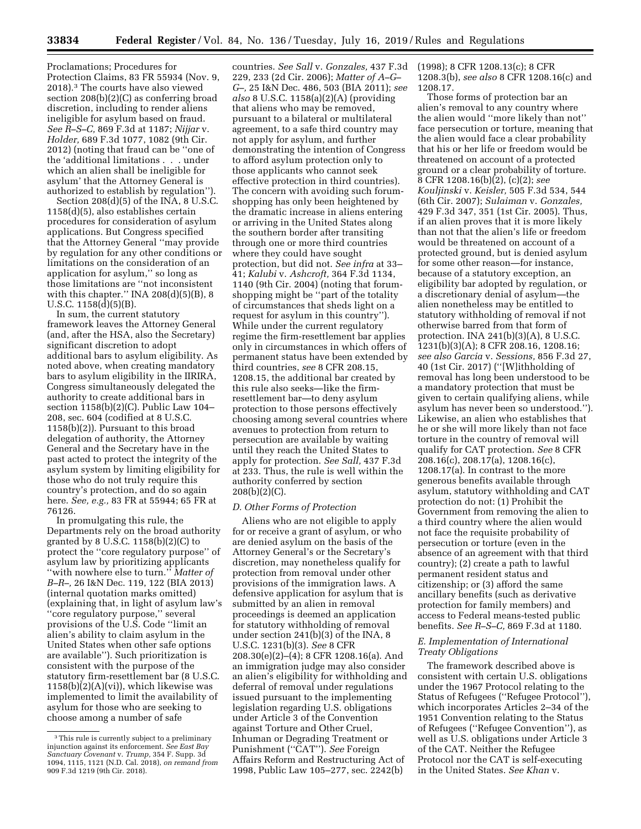Proclamations; Procedures for Protection Claims, 83 FR 55934 (Nov. 9, 2018).3 The courts have also viewed section 208(b)(2)(C) as conferring broad discretion, including to render aliens ineligible for asylum based on fraud. *See R–S–C,* 869 F.3d at 1187; *Nijjar* v. *Holder,* 689 F.3d 1077, 1082 (9th Cir. 2012) (noting that fraud can be ''one of the 'additional limitations . . . under which an alien shall be ineligible for asylum' that the Attorney General is authorized to establish by regulation'').

Section  $208(d)(5)$  of the INA, 8 U.S.C. 1158(d)(5), also establishes certain procedures for consideration of asylum applications. But Congress specified that the Attorney General ''may provide by regulation for any other conditions or limitations on the consideration of an application for asylum,'' so long as those limitations are ''not inconsistent with this chapter." INA  $208(d)(5)(B)$ , 8 U.S.C.  $1158(\text{d})(5)(\text{B})$ .

In sum, the current statutory framework leaves the Attorney General (and, after the HSA, also the Secretary) significant discretion to adopt additional bars to asylum eligibility. As noted above, when creating mandatory bars to asylum eligibility in the IIRIRA, Congress simultaneously delegated the authority to create additional bars in section 1158(b)(2)(C). Public Law 104– 208, sec. 604 (codified at 8 U.S.C. 1158(b)(2)). Pursuant to this broad delegation of authority, the Attorney General and the Secretary have in the past acted to protect the integrity of the asylum system by limiting eligibility for those who do not truly require this country's protection, and do so again here. *See, e.g.,* 83 FR at 55944; 65 FR at 76126.

In promulgating this rule, the Departments rely on the broad authority granted by 8 U.S.C. 1158(b)(2)(C) to protect the ''core regulatory purpose'' of asylum law by prioritizing applicants ''with nowhere else to turn.'' *Matter of B–R–,* 26 I&N Dec. 119, 122 (BIA 2013) (internal quotation marks omitted) (explaining that, in light of asylum law's ''core regulatory purpose,'' several provisions of the U.S. Code ''limit an alien's ability to claim asylum in the United States when other safe options are available''). Such prioritization is consistent with the purpose of the statutory firm-resettlement bar (8 U.S.C. 1158(b)(2)(A)(vi)), which likewise was implemented to limit the availability of asylum for those who are seeking to choose among a number of safe

countries. *See Sall* v. *Gonzales,* 437 F.3d 229, 233 (2d Cir. 2006); *Matter of A–G– G–,* 25 I&N Dec. 486, 503 (BIA 2011); *see also* 8 U.S.C. 1158(a)(2)(A) (providing that aliens who may be removed, pursuant to a bilateral or multilateral agreement, to a safe third country may not apply for asylum, and further demonstrating the intention of Congress to afford asylum protection only to those applicants who cannot seek effective protection in third countries). The concern with avoiding such forumshopping has only been heightened by the dramatic increase in aliens entering or arriving in the United States along the southern border after transiting through one or more third countries where they could have sought protection, but did not. *See infra* at 33– 41; *Kalubi* v. *Ashcroft,* 364 F.3d 1134, 1140 (9th Cir. 2004) (noting that forumshopping might be ''part of the totality of circumstances that sheds light on a request for asylum in this country''). While under the current regulatory regime the firm-resettlement bar applies only in circumstances in which offers of permanent status have been extended by third countries, *see* 8 CFR 208.15, 1208.15, the additional bar created by this rule also seeks—like the firmresettlement bar—to deny asylum protection to those persons effectively choosing among several countries where avenues to protection from return to persecution are available by waiting until they reach the United States to apply for protection. *See Sall,* 437 F.3d at 233. Thus, the rule is well within the authority conferred by section  $208(b)(2)(C)$ .

#### *D. Other Forms of Protection*

Aliens who are not eligible to apply for or receive a grant of asylum, or who are denied asylum on the basis of the Attorney General's or the Secretary's discretion, may nonetheless qualify for protection from removal under other provisions of the immigration laws. A defensive application for asylum that is submitted by an alien in removal proceedings is deemed an application for statutory withholding of removal under section 241(b)(3) of the INA, 8 U.S.C. 1231(b)(3). *See* 8 CFR 208.30(e)(2)–(4); 8 CFR 1208.16(a). And an immigration judge may also consider an alien's eligibility for withholding and deferral of removal under regulations issued pursuant to the implementing legislation regarding U.S. obligations under Article 3 of the Convention against Torture and Other Cruel, Inhuman or Degrading Treatment or Punishment (''CAT''). *See* Foreign Affairs Reform and Restructuring Act of 1998, Public Law 105–277, sec. 2242(b)

(1998); 8 CFR 1208.13(c); 8 CFR 1208.3(b), *see also* 8 CFR 1208.16(c) and 1208.17.

Those forms of protection bar an alien's removal to any country where the alien would ''more likely than not'' face persecution or torture, meaning that the alien would face a clear probability that his or her life or freedom would be threatened on account of a protected ground or a clear probability of torture. 8 CFR 1208.16(b)(2), (c)(2); *see Kouljinski* v. *Keisler,* 505 F.3d 534, 544 (6th Cir. 2007); *Sulaiman* v. *Gonzales,*  429 F.3d 347, 351 (1st Cir. 2005). Thus, if an alien proves that it is more likely than not that the alien's life or freedom would be threatened on account of a protected ground, but is denied asylum for some other reason—for instance, because of a statutory exception, an eligibility bar adopted by regulation, or a discretionary denial of asylum—the alien nonetheless may be entitled to statutory withholding of removal if not otherwise barred from that form of protection. INA 241(b)(3)(A), 8 U.S.C. 1231(b)(3)(A); 8 CFR 208.16, 1208.16; *see also Garcia* v. *Sessions,* 856 F.3d 27, 40 (1st Cir. 2017) (''[W]ithholding of removal has long been understood to be a mandatory protection that must be given to certain qualifying aliens, while asylum has never been so understood.''). Likewise, an alien who establishes that he or she will more likely than not face torture in the country of removal will qualify for CAT protection. *See* 8 CFR 208.16(c), 208.17(a), 1208.16(c), 1208.17(a). In contrast to the more generous benefits available through asylum, statutory withholding and CAT protection do not: (1) Prohibit the Government from removing the alien to a third country where the alien would not face the requisite probability of persecution or torture (even in the absence of an agreement with that third country); (2) create a path to lawful permanent resident status and citizenship; or (3) afford the same ancillary benefits (such as derivative protection for family members) and access to Federal means-tested public benefits. *See R–S–C,* 869 F.3d at 1180.

#### *E. Implementation of International Treaty Obligations*

The framework described above is consistent with certain U.S. obligations under the 1967 Protocol relating to the Status of Refugees (''Refugee Protocol''), which incorporates Articles 2–34 of the 1951 Convention relating to the Status of Refugees (''Refugee Convention''), as well as U.S. obligations under Article 3 of the CAT. Neither the Refugee Protocol nor the CAT is self-executing in the United States. *See Khan* v.

<sup>3</sup>This rule is currently subject to a preliminary injunction against its enforcement. *See East Bay Sanctuary Covenant* v. *Trump,* 354 F. Supp. 3d 1094, 1115, 1121 (N.D. Cal. 2018), *on remand from*  909 F.3d 1219 (9th Cir. 2018).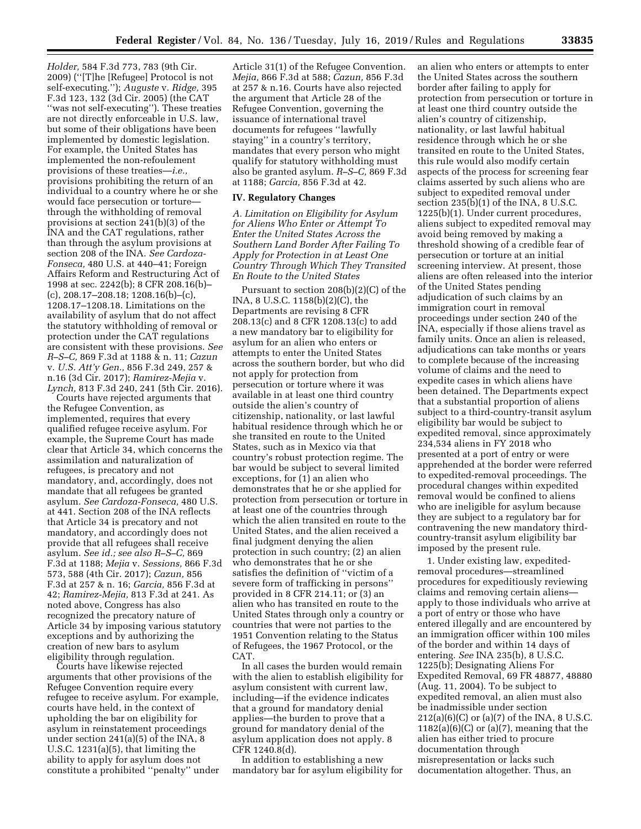*Holder,* 584 F.3d 773, 783 (9th Cir. 2009) (''[T]he [Refugee] Protocol is not self-executing.''); *Auguste* v. *Ridge,* 395 F.3d 123, 132 (3d Cir. 2005) (the CAT ''was not self-executing''). These treaties are not directly enforceable in U.S. law, but some of their obligations have been implemented by domestic legislation. For example, the United States has implemented the non-refoulement provisions of these treaties—*i.e.,*  provisions prohibiting the return of an individual to a country where he or she would face persecution or torture through the withholding of removal provisions at section 241(b)(3) of the INA and the CAT regulations, rather than through the asylum provisions at section 208 of the INA. *See Cardoza-Fonseca,* 480 U.S. at 440–41; Foreign Affairs Reform and Restructuring Act of 1998 at sec. 2242(b); 8 CFR 208.16(b)– (c), 208.17–208.18; 1208.16(b)–(c), 1208.17–1208.18. Limitations on the availability of asylum that do not affect the statutory withholding of removal or protection under the CAT regulations are consistent with these provisions. *See R–S–C,* 869 F.3d at 1188 & n. 11; *Cazun*  v. *U.S. Att'y Gen.,* 856 F.3d 249, 257 & n.16 (3d Cir. 2017); *Ramirez-Mejia* v. *Lynch,* 813 F.3d 240, 241 (5th Cir. 2016).

Courts have rejected arguments that the Refugee Convention, as implemented, requires that every qualified refugee receive asylum. For example, the Supreme Court has made clear that Article 34, which concerns the assimilation and naturalization of refugees, is precatory and not mandatory, and, accordingly, does not mandate that all refugees be granted asylum. *See Cardoza-Fonseca,* 480 U.S. at 441. Section 208 of the INA reflects that Article 34 is precatory and not mandatory, and accordingly does not provide that all refugees shall receive asylum. *See id.; see also R–S–C,* 869 F.3d at 1188; *Mejia* v. *Sessions,* 866 F.3d 573, 588 (4th Cir. 2017); *Cazun,* 856 F.3d at 257 & n. 16; *Garcia,* 856 F.3d at 42; *Ramirez-Mejia,* 813 F.3d at 241. As noted above, Congress has also recognized the precatory nature of Article 34 by imposing various statutory exceptions and by authorizing the creation of new bars to asylum eligibility through regulation.

Courts have likewise rejected arguments that other provisions of the Refugee Convention require every refugee to receive asylum. For example, courts have held, in the context of upholding the bar on eligibility for asylum in reinstatement proceedings under section 241(a)(5) of the INA, 8 U.S.C. 1231(a)(5), that limiting the ability to apply for asylum does not constitute a prohibited ''penalty'' under

Article 31(1) of the Refugee Convention. *Mejia,* 866 F.3d at 588; *Cazun,* 856 F.3d at 257 & n.16. Courts have also rejected the argument that Article 28 of the Refugee Convention, governing the issuance of international travel documents for refugees ''lawfully staying'' in a country's territory, mandates that every person who might qualify for statutory withholding must also be granted asylum. *R–S–C,* 869 F.3d at 1188; *Garcia,* 856 F.3d at 42.

#### **IV. Regulatory Changes**

*A. Limitation on Eligibility for Asylum for Aliens Who Enter or Attempt To Enter the United States Across the Southern Land Border After Failing To Apply for Protection in at Least One Country Through Which They Transited En Route to the United States* 

Pursuant to section 208(b)(2)(C) of the INA, 8 U.S.C. 1158(b)(2)(C), the Departments are revising 8 CFR 208.13(c) and 8 CFR 1208.13(c) to add a new mandatory bar to eligibility for asylum for an alien who enters or attempts to enter the United States across the southern border, but who did not apply for protection from persecution or torture where it was available in at least one third country outside the alien's country of citizenship, nationality, or last lawful habitual residence through which he or she transited en route to the United States, such as in Mexico via that country's robust protection regime. The bar would be subject to several limited exceptions, for (1) an alien who demonstrates that he or she applied for protection from persecution or torture in at least one of the countries through which the alien transited en route to the United States, and the alien received a final judgment denying the alien protection in such country; (2) an alien who demonstrates that he or she satisfies the definition of ''victim of a severe form of trafficking in persons'' provided in 8 CFR 214.11; or (3) an alien who has transited en route to the United States through only a country or countries that were not parties to the 1951 Convention relating to the Status of Refugees, the 1967 Protocol, or the CAT.

In all cases the burden would remain with the alien to establish eligibility for asylum consistent with current law, including—if the evidence indicates that a ground for mandatory denial applies—the burden to prove that a ground for mandatory denial of the asylum application does not apply. 8 CFR 1240.8(d).

In addition to establishing a new mandatory bar for asylum eligibility for an alien who enters or attempts to enter the United States across the southern border after failing to apply for protection from persecution or torture in at least one third country outside the alien's country of citizenship, nationality, or last lawful habitual residence through which he or she transited en route to the United States, this rule would also modify certain aspects of the process for screening fear claims asserted by such aliens who are subject to expedited removal under section 235(b)(1) of the INA, 8 U.S.C. 1225(b)(1). Under current procedures, aliens subject to expedited removal may avoid being removed by making a threshold showing of a credible fear of persecution or torture at an initial screening interview. At present, those aliens are often released into the interior of the United States pending adjudication of such claims by an immigration court in removal proceedings under section 240 of the INA, especially if those aliens travel as family units. Once an alien is released, adjudications can take months or years to complete because of the increasing volume of claims and the need to expedite cases in which aliens have been detained. The Departments expect that a substantial proportion of aliens subject to a third-country-transit asylum eligibility bar would be subject to expedited removal, since approximately 234,534 aliens in FY 2018 who presented at a port of entry or were apprehended at the border were referred to expedited-removal proceedings. The procedural changes within expedited removal would be confined to aliens who are ineligible for asylum because they are subject to a regulatory bar for contravening the new mandatory thirdcountry-transit asylum eligibility bar imposed by the present rule.

1. Under existing law, expeditedremoval procedures—streamlined procedures for expeditiously reviewing claims and removing certain aliens apply to those individuals who arrive at a port of entry or those who have entered illegally and are encountered by an immigration officer within 100 miles of the border and within 14 days of entering. *See* INA 235(b), 8 U.S.C. 1225(b); Designating Aliens For Expedited Removal, 69 FR 48877, 48880 (Aug. 11, 2004). To be subject to expedited removal, an alien must also be inadmissible under section  $212(a)(6)(C)$  or  $(a)(7)$  of the INA, 8 U.S.C.  $1182(a)(6)(C)$  or  $(a)(7)$ , meaning that the alien has either tried to procure documentation through misrepresentation or lacks such documentation altogether. Thus, an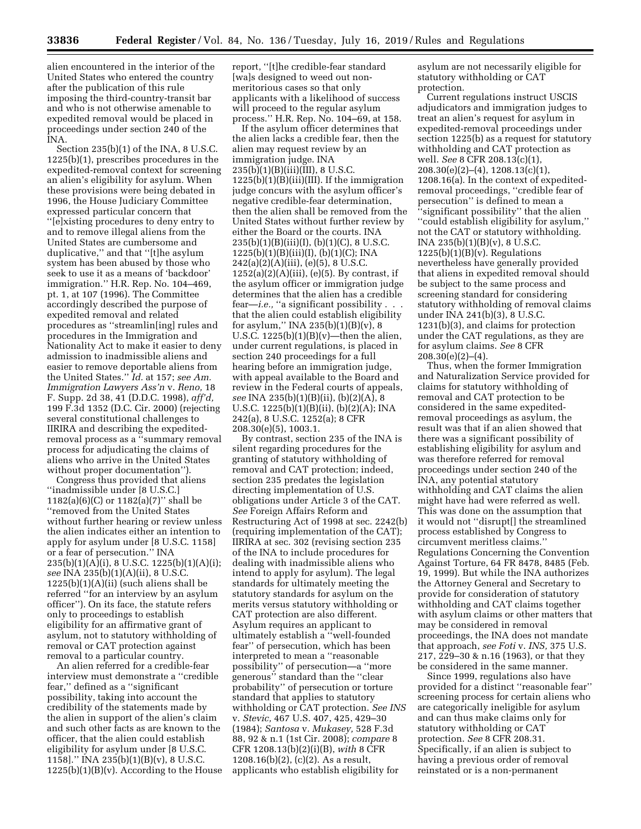**33836 Federal Register** / Vol. 84, No. 136 / Tuesday, July 16, 2019 / Rules and Regulations

alien encountered in the interior of the United States who entered the country after the publication of this rule imposing the third-country-transit bar and who is not otherwise amenable to expedited removal would be placed in proceedings under section 240 of the INA.

Section 235(b)(1) of the INA, 8 U.S.C. 1225(b)(1), prescribes procedures in the expedited-removal context for screening an alien's eligibility for asylum. When these provisions were being debated in 1996, the House Judiciary Committee expressed particular concern that ''[e]xisting procedures to deny entry to and to remove illegal aliens from the United States are cumbersome and duplicative,'' and that ''[t]he asylum system has been abused by those who seek to use it as a means of 'backdoor' immigration.'' H.R. Rep. No. 104–469, pt. 1, at 107 (1996). The Committee accordingly described the purpose of expedited removal and related procedures as ''streamlin[ing] rules and procedures in the Immigration and Nationality Act to make it easier to deny admission to inadmissible aliens and easier to remove deportable aliens from the United States.'' *Id.* at 157; *see Am. Immigration Lawyers Ass'n* v. *Reno,* 18 F. Supp. 2d 38, 41 (D.D.C. 1998), *aff'd,*  199 F.3d 1352 (D.C. Cir. 2000) (rejecting several constitutional challenges to IIRIRA and describing the expeditedremoval process as a ''summary removal process for adjudicating the claims of aliens who arrive in the United States without proper documentation'').

Congress thus provided that aliens ''inadmissible under [8 U.S.C.] 1182(a)(6)(C) or 1182(a)(7)'' shall be ''removed from the United States without further hearing or review unless the alien indicates either an intention to apply for asylum under [8 U.S.C. 1158] or a fear of persecution.'' INA 235(b)(1)(A)(i), 8 U.S.C. 1225(b)(1)(A)(i); *see* INA 235(b)(1)(A)(ii), 8 U.S.C. 1225(b)(1)(A)(ii) (such aliens shall be referred ''for an interview by an asylum officer''). On its face, the statute refers only to proceedings to establish eligibility for an affirmative grant of asylum, not to statutory withholding of removal or CAT protection against removal to a particular country.

An alien referred for a credible-fear interview must demonstrate a ''credible fear,'' defined as a ''significant possibility, taking into account the credibility of the statements made by the alien in support of the alien's claim and such other facts as are known to the officer, that the alien could establish eligibility for asylum under [8 U.S.C. 1158].'' INA 235(b)(1)(B)(v), 8 U.S.C.  $1225(b)(1)(B)(v)$ . According to the House report, ''[t]he credible-fear standard [wa]s designed to weed out nonmeritorious cases so that only applicants with a likelihood of success will proceed to the regular asylum process.'' H.R. Rep. No. 104–69, at 158.

If the asylum officer determines that the alien lacks a credible fear, then the alien may request review by an immigration judge. INA 235(b)(1)(B)(iii)(III), 8 U.S.C. 1225(b)(1)(B)(iii)(III). If the immigration judge concurs with the asylum officer's negative credible-fear determination, then the alien shall be removed from the United States without further review by either the Board or the courts. INA  $235(b)(1)(B)(iii)(I), (b)(1)(C), 8 U.S.C.$ 1225(b)(1)(B)(iii)(I), (b)(1)(C); INA 242(a)(2)(A)(iii), (e)(5), 8 U.S.C.  $1252(a)(2)(A)(iii)$ , (e)(5). By contrast, if the asylum officer or immigration judge determines that the alien has a credible fear—*i.e.*, "a significant possibility . . . that the alien could establish eligibility for asylum," INA 235(b)(1)(B)(v), 8 U.S.C.  $1225(b)(1)(B)(v)$ —then the alien, under current regulations, is placed in section 240 proceedings for a full hearing before an immigration judge, with appeal available to the Board and review in the Federal courts of appeals, *see* INA 235(b)(1)(B)(ii), (b)(2)(A), 8 U.S.C. 1225(b)(1)(B)(ii), (b)(2)(A); INA 242(a), 8 U.S.C. 1252(a); 8 CFR 208.30(e)(5), 1003.1.

By contrast, section 235 of the INA is silent regarding procedures for the granting of statutory withholding of removal and CAT protection; indeed, section 235 predates the legislation directing implementation of U.S. obligations under Article 3 of the CAT. *See* Foreign Affairs Reform and Restructuring Act of 1998 at sec. 2242(b) (requiring implementation of the CAT); IIRIRA at sec. 302 (revising section 235 of the INA to include procedures for dealing with inadmissible aliens who intend to apply for asylum). The legal standards for ultimately meeting the statutory standards for asylum on the merits versus statutory withholding or CAT protection are also different. Asylum requires an applicant to ultimately establish a ''well-founded fear'' of persecution, which has been interpreted to mean a ''reasonable possibility'' of persecution—a ''more generous'' standard than the ''clear probability'' of persecution or torture standard that applies to statutory withholding or CAT protection. *See INS*  v. *Stevic,* 467 U.S. 407, 425, 429–30 (1984); *Santosa* v. *Mukasey,* 528 F.3d 88, 92 & n.1 (1st Cir. 2008); *compare* 8 CFR 1208.13(b)(2)(i)(B), *with* 8 CFR 1208.16(b)(2), (c)(2). As a result, applicants who establish eligibility for

asylum are not necessarily eligible for statutory withholding or CAT protection.

Current regulations instruct USCIS adjudicators and immigration judges to treat an alien's request for asylum in expedited-removal proceedings under section 1225(b) as a request for statutory withholding and CAT protection as well. *See* 8 CFR 208.13(c)(1),  $208.30(e)(2)–(4), 1208.13(c)(1),$ 1208.16(a). In the context of expeditedremoval proceedings, ''credible fear of persecution'' is defined to mean a ''significant possibility'' that the alien ''could establish eligibility for asylum,'' not the CAT or statutory withholding. INA 235(b)(1)(B)(v), 8 U.S.C.  $1225(b)(1)(B)(v)$ . Regulations nevertheless have generally provided that aliens in expedited removal should be subject to the same process and screening standard for considering statutory withholding of removal claims under INA 241(b)(3), 8 U.S.C. 1231(b)(3), and claims for protection under the CAT regulations, as they are for asylum claims. *See* 8 CFR  $208.30(e)(2)–(4)$ .

Thus, when the former Immigration and Naturalization Service provided for claims for statutory withholding of removal and CAT protection to be considered in the same expeditedremoval proceedings as asylum, the result was that if an alien showed that there was a significant possibility of establishing eligibility for asylum and was therefore referred for removal proceedings under section 240 of the INA, any potential statutory withholding and CAT claims the alien might have had were referred as well. This was done on the assumption that it would not ''disrupt[] the streamlined process established by Congress to circumvent meritless claims.'' Regulations Concerning the Convention Against Torture, 64 FR 8478, 8485 (Feb. 19, 1999). But while the INA authorizes the Attorney General and Secretary to provide for consideration of statutory withholding and CAT claims together with asylum claims or other matters that may be considered in removal proceedings, the INA does not mandate that approach, *see Foti* v. *INS,* 375 U.S. 217, 229–30 & n.16 (1963), or that they be considered in the same manner.

Since 1999, regulations also have provided for a distinct ''reasonable fear'' screening process for certain aliens who are categorically ineligible for asylum and can thus make claims only for statutory withholding or CAT protection. *See* 8 CFR 208.31. Specifically, if an alien is subject to having a previous order of removal reinstated or is a non-permanent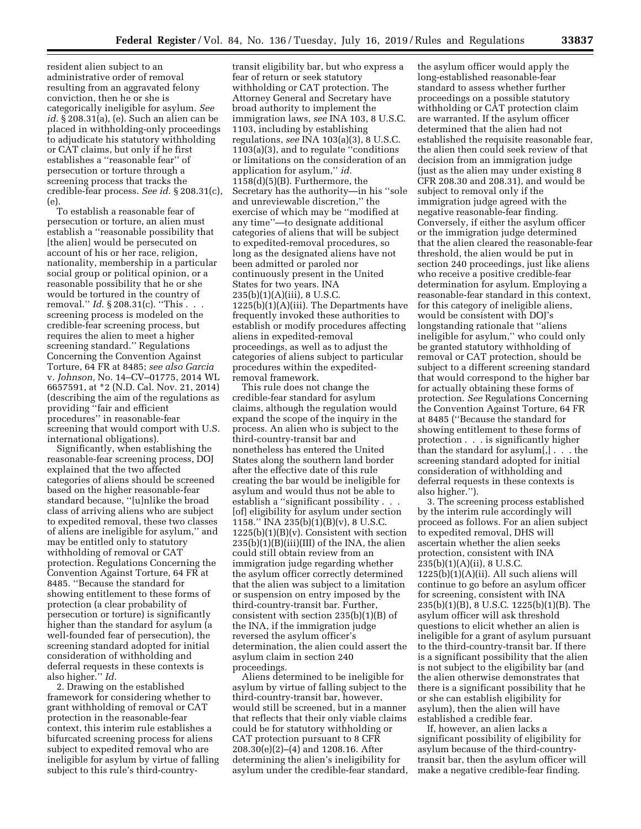resident alien subject to an administrative order of removal resulting from an aggravated felony conviction, then he or she is categorically ineligible for asylum. *See id.* § 208.31(a), (e). Such an alien can be placed in withholding-only proceedings to adjudicate his statutory withholding or CAT claims, but only if he first establishes a ''reasonable fear'' of persecution or torture through a screening process that tracks the credible-fear process. *See id.* § 208.31(c), (e).

To establish a reasonable fear of persecution or torture, an alien must establish a ''reasonable possibility that [the alien] would be persecuted on account of his or her race, religion, nationality, membership in a particular social group or political opinion, or a reasonable possibility that he or she would be tortured in the country of removal." *Id.* § 208.31(c). "This . . . screening process is modeled on the credible-fear screening process, but requires the alien to meet a higher screening standard.'' Regulations Concerning the Convention Against Torture, 64 FR at 8485; *see also Garcia*  v. *Johnson,* No. 14–CV–01775, 2014 WL 6657591, at \*2 (N.D. Cal. Nov. 21, 2014) (describing the aim of the regulations as providing ''fair and efficient procedures'' in reasonable-fear screening that would comport with U.S. international obligations).

Significantly, when establishing the reasonable-fear screening process, DOJ explained that the two affected categories of aliens should be screened based on the higher reasonable-fear standard because, ''[u]nlike the broad class of arriving aliens who are subject to expedited removal, these two classes of aliens are ineligible for asylum,'' and may be entitled only to statutory withholding of removal or CAT protection. Regulations Concerning the Convention Against Torture, 64 FR at 8485. ''Because the standard for showing entitlement to these forms of protection (a clear probability of persecution or torture) is significantly higher than the standard for asylum (a well-founded fear of persecution), the screening standard adopted for initial consideration of withholding and deferral requests in these contexts is also higher.'' *Id.* 

2. Drawing on the established framework for considering whether to grant withholding of removal or CAT protection in the reasonable-fear context, this interim rule establishes a bifurcated screening process for aliens subject to expedited removal who are ineligible for asylum by virtue of falling subject to this rule's third-country-

transit eligibility bar, but who express a fear of return or seek statutory withholding or CAT protection. The Attorney General and Secretary have broad authority to implement the immigration laws, *see* INA 103, 8 U.S.C. 1103, including by establishing regulations, *see* INA 103(a)(3), 8 U.S.C. 1103(a)(3), and to regulate ''conditions or limitations on the consideration of an application for asylum,'' *id.*  1158(d)(5)(B). Furthermore, the Secretary has the authority—in his ''sole and unreviewable discretion,'' the exercise of which may be ''modified at any time''—to designate additional categories of aliens that will be subject to expedited-removal procedures, so long as the designated aliens have not been admitted or paroled nor continuously present in the United States for two years. INA 235(b)(1)(A)(iii), 8 U.S.C.  $1225(b)(1)(A)(iii)$ . The Departments have frequently invoked these authorities to establish or modify procedures affecting aliens in expedited-removal proceedings, as well as to adjust the categories of aliens subject to particular procedures within the expeditedremoval framework.

This rule does not change the credible-fear standard for asylum claims, although the regulation would expand the scope of the inquiry in the process. An alien who is subject to the third-country-transit bar and nonetheless has entered the United States along the southern land border after the effective date of this rule creating the bar would be ineligible for asylum and would thus not be able to establish a ''significant possibility . . . [of] eligibility for asylum under section 1158.'' INA 235(b)(1)(B)(v), 8 U.S.C. 1225(b)(1)(B)(v). Consistent with section  $235(b)(1)(B)(iii)(III)$  of the INA, the alien could still obtain review from an immigration judge regarding whether the asylum officer correctly determined that the alien was subject to a limitation or suspension on entry imposed by the third-country-transit bar. Further, consistent with section 235(b)(1)(B) of the INA, if the immigration judge reversed the asylum officer's determination, the alien could assert the asylum claim in section 240 proceedings.

Aliens determined to be ineligible for asylum by virtue of falling subject to the third-country-transit bar, however, would still be screened, but in a manner that reflects that their only viable claims could be for statutory withholding or CAT protection pursuant to 8 CFR 208.30(e)(2)–(4) and 1208.16. After determining the alien's ineligibility for asylum under the credible-fear standard,

the asylum officer would apply the long-established reasonable-fear standard to assess whether further proceedings on a possible statutory withholding or CAT protection claim are warranted. If the asylum officer determined that the alien had not established the requisite reasonable fear, the alien then could seek review of that decision from an immigration judge (just as the alien may under existing 8 CFR 208.30 and 208.31), and would be subject to removal only if the immigration judge agreed with the negative reasonable-fear finding. Conversely, if either the asylum officer or the immigration judge determined that the alien cleared the reasonable-fear threshold, the alien would be put in section 240 proceedings, just like aliens who receive a positive credible-fear determination for asylum. Employing a reasonable-fear standard in this context, for this category of ineligible aliens, would be consistent with DOJ's longstanding rationale that ''aliens ineligible for asylum,'' who could only be granted statutory withholding of removal or CAT protection, should be subject to a different screening standard that would correspond to the higher bar for actually obtaining these forms of protection. *See* Regulations Concerning the Convention Against Torture, 64 FR at 8485 (''Because the standard for showing entitlement to these forms of protection . . . is significantly higher than the standard for asylum[,] . . . the screening standard adopted for initial consideration of withholding and deferral requests in these contexts is also higher.'').

3. The screening process established by the interim rule accordingly will proceed as follows. For an alien subject to expedited removal, DHS will ascertain whether the alien seeks protection, consistent with INA 235(b)(1)(A)(ii), 8 U.S.C.  $1225(b)(1)(A)(ii)$ . All such aliens will continue to go before an asylum officer for screening, consistent with INA  $235(b)(1)(B)$ , 8 U.S.C. 1225(b)(1)(B). The asylum officer will ask threshold questions to elicit whether an alien is ineligible for a grant of asylum pursuant to the third-country-transit bar. If there is a significant possibility that the alien is not subject to the eligibility bar (and the alien otherwise demonstrates that there is a significant possibility that he or she can establish eligibility for asylum), then the alien will have established a credible fear.

If, however, an alien lacks a significant possibility of eligibility for asylum because of the third-countrytransit bar, then the asylum officer will make a negative credible-fear finding.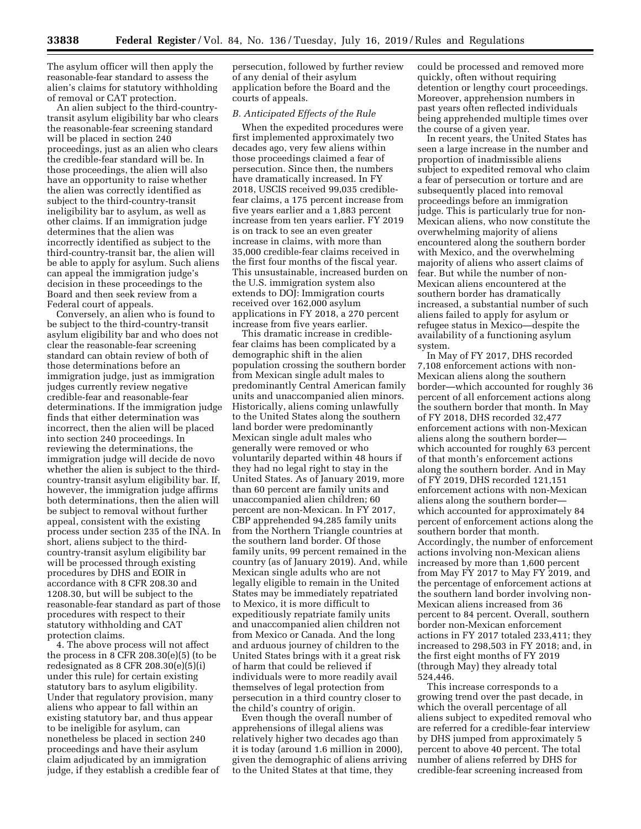The asylum officer will then apply the reasonable-fear standard to assess the alien's claims for statutory withholding of removal or CAT protection.

An alien subject to the third-countrytransit asylum eligibility bar who clears the reasonable-fear screening standard will be placed in section 240 proceedings, just as an alien who clears the credible-fear standard will be. In those proceedings, the alien will also have an opportunity to raise whether the alien was correctly identified as subject to the third-country-transit ineligibility bar to asylum, as well as other claims. If an immigration judge determines that the alien was incorrectly identified as subject to the third-country-transit bar, the alien will be able to apply for asylum. Such aliens can appeal the immigration judge's decision in these proceedings to the Board and then seek review from a Federal court of appeals.

Conversely, an alien who is found to be subject to the third-country-transit asylum eligibility bar and who does not clear the reasonable-fear screening standard can obtain review of both of those determinations before an immigration judge, just as immigration judges currently review negative credible-fear and reasonable-fear determinations. If the immigration judge finds that either determination was incorrect, then the alien will be placed into section 240 proceedings. In reviewing the determinations, the immigration judge will decide de novo whether the alien is subject to the thirdcountry-transit asylum eligibility bar. If, however, the immigration judge affirms both determinations, then the alien will be subject to removal without further appeal, consistent with the existing process under section 235 of the INA. In short, aliens subject to the thirdcountry-transit asylum eligibility bar will be processed through existing procedures by DHS and EOIR in accordance with 8 CFR 208.30 and 1208.30, but will be subject to the reasonable-fear standard as part of those procedures with respect to their statutory withholding and CAT protection claims.

4. The above process will not affect the process in 8 CFR  $208.30(e)(5)$  (to be redesignated as 8 CFR 208.30(e)(5)(i) under this rule) for certain existing statutory bars to asylum eligibility. Under that regulatory provision, many aliens who appear to fall within an existing statutory bar, and thus appear to be ineligible for asylum, can nonetheless be placed in section 240 proceedings and have their asylum claim adjudicated by an immigration judge, if they establish a credible fear of

persecution, followed by further review of any denial of their asylum application before the Board and the courts of appeals.

# *B. Anticipated Effects of the Rule*

When the expedited procedures were first implemented approximately two decades ago, very few aliens within those proceedings claimed a fear of persecution. Since then, the numbers have dramatically increased. In FY 2018, USCIS received 99,035 crediblefear claims, a 175 percent increase from five years earlier and a 1,883 percent increase from ten years earlier. FY 2019 is on track to see an even greater increase in claims, with more than 35,000 credible-fear claims received in the first four months of the fiscal year. This unsustainable, increased burden on the U.S. immigration system also extends to DOJ: Immigration courts received over 162,000 asylum applications in FY 2018, a 270 percent increase from five years earlier.

This dramatic increase in crediblefear claims has been complicated by a demographic shift in the alien population crossing the southern border from Mexican single adult males to predominantly Central American family units and unaccompanied alien minors. Historically, aliens coming unlawfully to the United States along the southern land border were predominantly Mexican single adult males who generally were removed or who voluntarily departed within 48 hours if they had no legal right to stay in the United States. As of January 2019, more than 60 percent are family units and unaccompanied alien children; 60 percent are non-Mexican. In FY 2017, CBP apprehended 94,285 family units from the Northern Triangle countries at the southern land border. Of those family units, 99 percent remained in the country (as of January 2019). And, while Mexican single adults who are not legally eligible to remain in the United States may be immediately repatriated to Mexico, it is more difficult to expeditiously repatriate family units and unaccompanied alien children not from Mexico or Canada. And the long and arduous journey of children to the United States brings with it a great risk of harm that could be relieved if individuals were to more readily avail themselves of legal protection from persecution in a third country closer to the child's country of origin.

Even though the overall number of apprehensions of illegal aliens was relatively higher two decades ago than it is today (around 1.6 million in 2000), given the demographic of aliens arriving to the United States at that time, they

could be processed and removed more quickly, often without requiring detention or lengthy court proceedings. Moreover, apprehension numbers in past years often reflected individuals being apprehended multiple times over the course of a given year.

In recent years, the United States has seen a large increase in the number and proportion of inadmissible aliens subject to expedited removal who claim a fear of persecution or torture and are subsequently placed into removal proceedings before an immigration judge. This is particularly true for non-Mexican aliens, who now constitute the overwhelming majority of aliens encountered along the southern border with Mexico, and the overwhelming majority of aliens who assert claims of fear. But while the number of non-Mexican aliens encountered at the southern border has dramatically increased, a substantial number of such aliens failed to apply for asylum or refugee status in Mexico—despite the availability of a functioning asylum system.

In May of FY 2017, DHS recorded 7,108 enforcement actions with non-Mexican aliens along the southern border—which accounted for roughly 36 percent of all enforcement actions along the southern border that month. In May of FY 2018, DHS recorded 32,477 enforcement actions with non-Mexican aliens along the southern border which accounted for roughly 63 percent of that month's enforcement actions along the southern border. And in May of FY 2019, DHS recorded 121,151 enforcement actions with non-Mexican aliens along the southern border which accounted for approximately 84 percent of enforcement actions along the southern border that month. Accordingly, the number of enforcement actions involving non-Mexican aliens increased by more than 1,600 percent from May FY 2017 to May FY 2019, and the percentage of enforcement actions at the southern land border involving non-Mexican aliens increased from 36 percent to 84 percent. Overall, southern border non-Mexican enforcement actions in FY 2017 totaled 233,411; they increased to 298,503 in FY 2018; and, in the first eight months of FY 2019 (through May) they already total 524,446.

This increase corresponds to a growing trend over the past decade, in which the overall percentage of all aliens subject to expedited removal who are referred for a credible-fear interview by DHS jumped from approximately 5 percent to above 40 percent. The total number of aliens referred by DHS for credible-fear screening increased from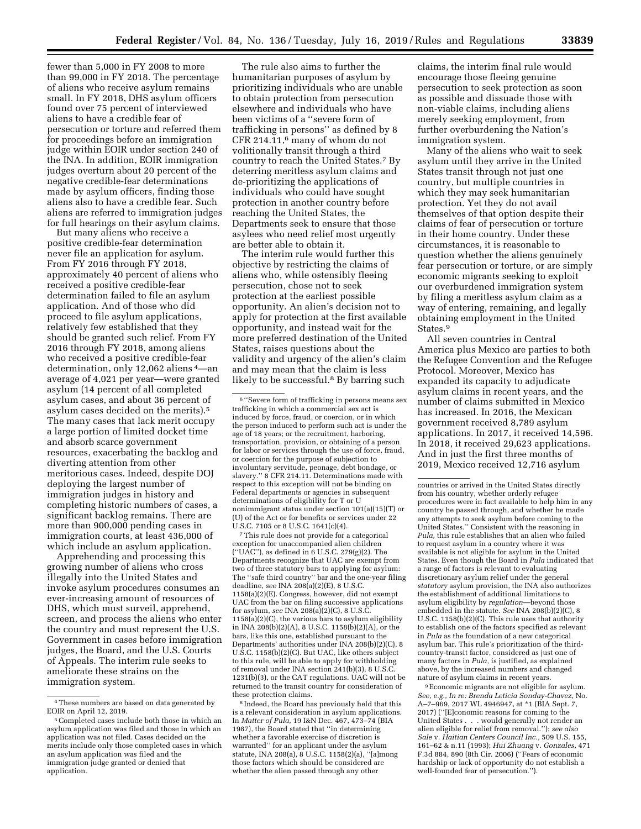fewer than 5,000 in FY 2008 to more than 99,000 in FY 2018. The percentage of aliens who receive asylum remains small. In FY 2018, DHS asylum officers found over 75 percent of interviewed aliens to have a credible fear of persecution or torture and referred them for proceedings before an immigration judge within EOIR under section 240 of the INA. In addition, EOIR immigration judges overturn about 20 percent of the negative credible-fear determinations made by asylum officers, finding those aliens also to have a credible fear. Such aliens are referred to immigration judges for full hearings on their asylum claims.

But many aliens who receive a positive credible-fear determination never file an application for asylum. From FY 2016 through FY 2018, approximately 40 percent of aliens who received a positive credible-fear determination failed to file an asylum application. And of those who did proceed to file asylum applications, relatively few established that they should be granted such relief. From FY 2016 through FY 2018, among aliens who received a positive credible-fear determination, only 12,062 aliens 4—an average of 4,021 per year—were granted asylum (14 percent of all completed asylum cases, and about 36 percent of asylum cases decided on the merits).5 The many cases that lack merit occupy a large portion of limited docket time and absorb scarce government resources, exacerbating the backlog and diverting attention from other meritorious cases. Indeed, despite DOJ deploying the largest number of immigration judges in history and completing historic numbers of cases, a significant backlog remains. There are more than 900,000 pending cases in immigration courts, at least 436,000 of which include an asylum application.

Apprehending and processing this growing number of aliens who cross illegally into the United States and invoke asylum procedures consumes an ever-increasing amount of resources of DHS, which must surveil, apprehend, screen, and process the aliens who enter the country and must represent the U.S. Government in cases before immigration judges, the Board, and the U.S. Courts of Appeals. The interim rule seeks to ameliorate these strains on the immigration system.

The rule also aims to further the humanitarian purposes of asylum by prioritizing individuals who are unable to obtain protection from persecution elsewhere and individuals who have been victims of a ''severe form of trafficking in persons'' as defined by 8 CFR 214.11,6 many of whom do not volitionally transit through a third country to reach the United States.7 By deterring meritless asylum claims and de-prioritizing the applications of individuals who could have sought protection in another country before reaching the United States, the Departments seek to ensure that those asylees who need relief most urgently are better able to obtain it.

The interim rule would further this objective by restricting the claims of aliens who, while ostensibly fleeing persecution, chose not to seek protection at the earliest possible opportunity. An alien's decision not to apply for protection at the first available opportunity, and instead wait for the more preferred destination of the United States, raises questions about the validity and urgency of the alien's claim and may mean that the claim is less likely to be successful.<sup>8</sup> By barring such

7This rule does not provide for a categorical exception for unaccompanied alien children (''UAC''), as defined in 6 U.S.C. 279(g)(2). The Departments recognize that UAC are exempt from two of three statutory bars to applying for asylum: The ''safe third country'' bar and the one-year filing deadline, *see* INA 208(a)(2)(E), 8 U.S.C. 1158(a)(2)(E). Congress, however, did not exempt UAC from the bar on filing successive applications for asylum, *see* INA 208(a)(2)(C), 8 U.S.C.  $1158(a)(2)(C)$ , the various bars to asylum eligibility in INA 208(b)(2)(A), 8 U.S.C. 1158( $\check{b}$ )(2)(A), or the bars, like this one, established pursuant to the Departments' authorities under INA 208(b)(2)(C), 8 U.S.C. 1158(b)(2)(C). But UAC, like others subject to this rule, will be able to apply for withholding of removal under INA section 241(b)(3), 8 U.S.C. 1231(b)(3), or the CAT regulations. UAC will not be returned to the transit country for consideration of these protection claims.

8 Indeed, the Board has previously held that this is a relevant consideration in asylum applications. In *Matter of Pula,* 19 I&N Dec. 467, 473–74 (BIA 1987), the Board stated that ''in determining whether a favorable exercise of discretion is warranted'' for an applicant under the asylum statute, INA 208(a), 8 U.S.C. 1158(2)(a), ''[a]mong those factors which should be considered are whether the alien passed through any other

claims, the interim final rule would encourage those fleeing genuine persecution to seek protection as soon as possible and dissuade those with non-viable claims, including aliens merely seeking employment, from further overburdening the Nation's immigration system.

Many of the aliens who wait to seek asylum until they arrive in the United States transit through not just one country, but multiple countries in which they may seek humanitarian protection. Yet they do not avail themselves of that option despite their claims of fear of persecution or torture in their home country. Under these circumstances, it is reasonable to question whether the aliens genuinely fear persecution or torture, or are simply economic migrants seeking to exploit our overburdened immigration system by filing a meritless asylum claim as a way of entering, remaining, and legally obtaining employment in the United States.<sup>9</sup>

All seven countries in Central America plus Mexico are parties to both the Refugee Convention and the Refugee Protocol. Moreover, Mexico has expanded its capacity to adjudicate asylum claims in recent years, and the number of claims submitted in Mexico has increased. In 2016, the Mexican government received 8,789 asylum applications. In 2017, it received 14,596. In 2018, it received 29,623 applications. And in just the first three months of 2019, Mexico received 12,716 asylum

9Economic migrants are not eligible for asylum. *See, e.g., In re: Brenda Leticia Sonday-Chavez,* No. A–7–969, 2017 WL 4946947, at \*1 (BIA Sept. 7, 2017) (''[E]conomic reasons for coming to the United States . . . would generally not render an alien eligible for relief from removal.''); *see also Sale* v. *Haitian Centers Council Inc.,* 509 U.S. 155, 161–62 & n.11 (1993); *Hui Zhuang* v. *Gonzales,* 471 F.3d 884, 890 (8th Cir. 2006) (''Fears of economic hardship or lack of opportunity do not establish a well-founded fear of persecution.'').

<sup>&</sup>lt;sup>4</sup> These numbers are based on data generated by EOIR on April 12, 2019.

<sup>5</sup>Completed cases include both those in which an asylum application was filed and those in which an application was not filed. Cases decided on the merits include only those completed cases in which an asylum application was filed and the immigration judge granted or denied that application.

<sup>6</sup> ''Severe form of trafficking in persons means sex trafficking in which a commercial sex act is induced by force, fraud, or coercion, or in which the person induced to perform such act is under the age of 18 years; or the recruitment, harboring, transportation, provision, or obtaining of a person for labor or services through the use of force, fraud, or coercion for the purpose of subjection to involuntary servitude, peonage, debt bondage, or slavery.'' 8 CFR 214.11. Determinations made with respect to this exception will not be binding on Federal departments or agencies in subsequent determinations of eligibility for T or U nonimmigrant status under section 101(a)(15)(T) or (U) of the Act or for benefits or services under 22 U.S.C. 7105 or 8 U.S.C. 1641(c)(4).

countries or arrived in the United States directly from his country, whether orderly refugee procedures were in fact available to help him in any country he passed through, and whether he made any attempts to seek asylum before coming to the United States.'' Consistent with the reasoning in *Pula,* this rule establishes that an alien who failed to request asylum in a country where it was available is not eligible for asylum in the United States. Even though the Board in *Pula* indicated that a range of factors is relevant to evaluating discretionary asylum relief under the general *statutory* asylum provision, the INA also authorizes the establishment of additional limitations to asylum eligibility by *regulation*—beyond those embedded in the statute. *See* INA 208(b)(2)(C), 8 U.S.C. 1158(b)(2)(C). This rule uses that authority to establish one of the factors specified as relevant in *Pula* as the foundation of a new categorical asylum bar. This rule's prioritization of the thirdcountry-transit factor, considered as just one of many factors in *Pula*, is justified, as explained above, by the increased numbers and changed nature of asylum claims in recent years.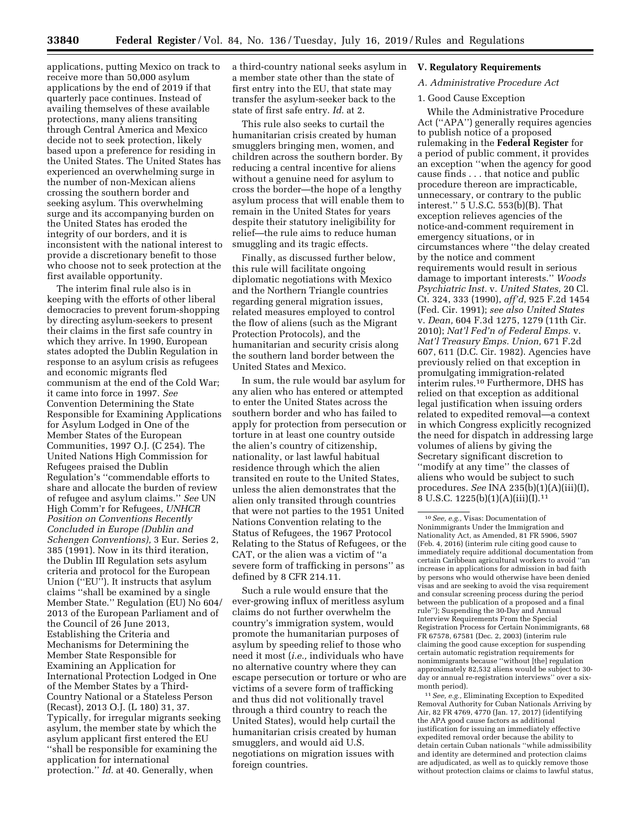applications, putting Mexico on track to receive more than 50,000 asylum applications by the end of 2019 if that quarterly pace continues. Instead of availing themselves of these available protections, many aliens transiting through Central America and Mexico decide not to seek protection, likely based upon a preference for residing in the United States. The United States has experienced an overwhelming surge in the number of non-Mexican aliens crossing the southern border and seeking asylum. This overwhelming surge and its accompanying burden on the United States has eroded the integrity of our borders, and it is inconsistent with the national interest to provide a discretionary benefit to those who choose not to seek protection at the first available opportunity.

The interim final rule also is in keeping with the efforts of other liberal democracies to prevent forum-shopping by directing asylum-seekers to present their claims in the first safe country in which they arrive. In 1990, European states adopted the Dublin Regulation in response to an asylum crisis as refugees and economic migrants fled communism at the end of the Cold War; it came into force in 1997. *See*  Convention Determining the State Responsible for Examining Applications for Asylum Lodged in One of the Member States of the European Communities, 1997 O.J. (C 254). The United Nations High Commission for Refugees praised the Dublin Regulation's ''commendable efforts to share and allocate the burden of review of refugee and asylum claims.'' *See* UN High Comm'r for Refugees, *UNHCR Position on Conventions Recently Concluded in Europe (Dublin and Schengen Conventions),* 3 Eur. Series 2, 385 (1991). Now in its third iteration, the Dublin III Regulation sets asylum criteria and protocol for the European Union (''EU''). It instructs that asylum claims ''shall be examined by a single Member State.'' Regulation (EU) No 604/ 2013 of the European Parliament and of the Council of 26 June 2013, Establishing the Criteria and Mechanisms for Determining the Member State Responsible for Examining an Application for International Protection Lodged in One of the Member States by a Third-Country National or a Stateless Person (Recast), 2013 O.J. (L 180) 31, 37. Typically, for irregular migrants seeking asylum, the member state by which the asylum applicant first entered the EU ''shall be responsible for examining the application for international protection.'' *Id.* at 40. Generally, when

a third-country national seeks asylum in a member state other than the state of first entry into the EU, that state may transfer the asylum-seeker back to the state of first safe entry. *Id.* at 2.

This rule also seeks to curtail the humanitarian crisis created by human smugglers bringing men, women, and children across the southern border. By reducing a central incentive for aliens without a genuine need for asylum to cross the border—the hope of a lengthy asylum process that will enable them to remain in the United States for years despite their statutory ineligibility for relief—the rule aims to reduce human smuggling and its tragic effects.

Finally, as discussed further below, this rule will facilitate ongoing diplomatic negotiations with Mexico and the Northern Triangle countries regarding general migration issues, related measures employed to control the flow of aliens (such as the Migrant Protection Protocols), and the humanitarian and security crisis along the southern land border between the United States and Mexico.

In sum, the rule would bar asylum for any alien who has entered or attempted to enter the United States across the southern border and who has failed to apply for protection from persecution or torture in at least one country outside the alien's country of citizenship, nationality, or last lawful habitual residence through which the alien transited en route to the United States, unless the alien demonstrates that the alien only transited through countries that were not parties to the 1951 United Nations Convention relating to the Status of Refugees, the 1967 Protocol Relating to the Status of Refugees, or the CAT, or the alien was a victim of ''a severe form of trafficking in persons'' as defined by 8 CFR 214.11.

Such a rule would ensure that the ever-growing influx of meritless asylum claims do not further overwhelm the country's immigration system, would promote the humanitarian purposes of asylum by speeding relief to those who need it most (*i.e.,* individuals who have no alternative country where they can escape persecution or torture or who are victims of a severe form of trafficking and thus did not volitionally travel through a third country to reach the United States), would help curtail the humanitarian crisis created by human smugglers, and would aid U.S. negotiations on migration issues with foreign countries.

# **V. Regulatory Requirements**

#### *A. Administrative Procedure Act*

#### 1. Good Cause Exception

While the Administrative Procedure Act (''APA'') generally requires agencies to publish notice of a proposed rulemaking in the **Federal Register** for a period of public comment, it provides an exception ''when the agency for good cause finds . . . that notice and public procedure thereon are impracticable, unnecessary, or contrary to the public interest.'' 5 U.S.C. 553(b)(B). That exception relieves agencies of the notice-and-comment requirement in emergency situations, or in circumstances where ''the delay created by the notice and comment requirements would result in serious damage to important interests.'' *Woods Psychiatric Inst.* v. *United States,* 20 Cl. Ct. 324, 333 (1990), *aff'd,* 925 F.2d 1454 (Fed. Cir. 1991); *see also United States*  v. *Dean,* 604 F.3d 1275, 1279 (11th Cir. 2010); *Nat'l Fed'n of Federal Emps.* v. *Nat'l Treasury Emps. Union,* 671 F.2d 607, 611 (D.C. Cir. 1982). Agencies have previously relied on that exception in promulgating immigration-related interim rules.10 Furthermore, DHS has relied on that exception as additional legal justification when issuing orders related to expedited removal—a context in which Congress explicitly recognized the need for dispatch in addressing large volumes of aliens by giving the Secretary significant discretion to ''modify at any time'' the classes of aliens who would be subject to such procedures. *See* INA 235(b)(1)(A)(iii)(I), 8 U.S.C. 1225(b)(1)(A)(iii)(I).11

11*See, e.g.,* Eliminating Exception to Expedited Removal Authority for Cuban Nationals Arriving by Air, 82 FR 4769, 4770 (Jan. 17, 2017) (identifying the APA good cause factors as additional justification for issuing an immediately effective expedited removal order because the ability to detain certain Cuban nationals ''while admissibility and identity are determined and protection claims are adjudicated, as well as to quickly remove those without protection claims or claims to lawful status,

<sup>10</sup>*See, e.g.,* Visas: Documentation of Nonimmigrants Under the Immigration and Nationality Act, as Amended, 81 FR 5906, 5907 (Feb. 4, 2016) (interim rule citing good cause to immediately require additional documentation from certain Caribbean agricultural workers to avoid ''an increase in applications for admission in bad faith by persons who would otherwise have been denied visas and are seeking to avoid the visa requirement and consular screening process during the period between the publication of a proposed and a final rule''); Suspending the 30-Day and Annual Interview Requirements From the Special Registration Process for Certain Nonimmigrants, 68 FR 67578, 67581 (Dec. 2, 2003) (interim rule claiming the good cause exception for suspending certain automatic registration requirements for nonimmigrants because ''without [the] regulation approximately 82,532 aliens would be subject to 30 day or annual re-registration interviews'' over a sixmonth period).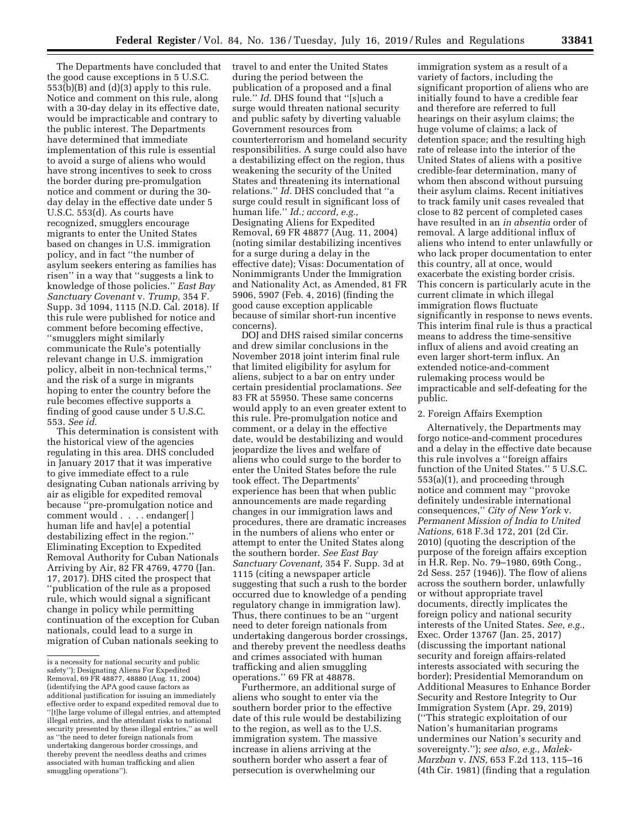The Departments have concluded that the good cause exceptions in 5 U.S.C. 553(b)(B) and (d)(3) apply to this rule. Notice and comment on this rule, along with a 30-day delay in its effective date, would be impracticable and contrary to the public interest. The Departments have determined that immediate implementation of this rule is essential to avoid a surge of aliens who would have strong incentives to seek to cross the border during pre-promulgation notice and comment or during the 30 day delay in the effective date under 5 U.S.C. 553(d). As courts have recognized, smugglers encourage migrants to enter the United States based on changes in U.S. immigration policy, and in fact ''the number of asylum seekers entering as families has risen'' in a way that ''suggests a link to knowledge of those policies.'' *East Bay Sanctuary Covenant* v. *Trump,* 354 F. Supp. 3d 1094, 1115 (N.D. Cal. 2018). If this rule were published for notice and comment before becoming effective, ''smugglers might similarly communicate the Rule's potentially relevant change in U.S. immigration policy, albeit in non-technical terms,'' and the risk of a surge in migrants hoping to enter the country before the rule becomes effective supports a finding of good cause under 5 U.S.C. 553. *See id.* 

This determination is consistent with the historical view of the agencies regulating in this area. DHS concluded in January 2017 that it was imperative to give immediate effect to a rule designating Cuban nationals arriving by air as eligible for expedited removal because ''pre-promulgation notice and comment would . . . . endanger[ ] human life and hav[e] a potential destabilizing effect in the region.'' Eliminating Exception to Expedited Removal Authority for Cuban Nationals Arriving by Air, 82 FR 4769, 4770 (Jan. 17, 2017). DHS cited the prospect that ''publication of the rule as a proposed rule, which would signal a significant change in policy while permitting continuation of the exception for Cuban nationals, could lead to a surge in migration of Cuban nationals seeking to travel to and enter the United States during the period between the publication of a proposed and a final rule.'' *Id.* DHS found that ''[s]uch a surge would threaten national security and public safety by diverting valuable Government resources from counterterrorism and homeland security responsibilities. A surge could also have a destabilizing effect on the region, thus weakening the security of the United States and threatening its international relations.'' *Id.* DHS concluded that ''a surge could result in significant loss of human life.'' *Id.; accord, e.g.,*  Designating Aliens for Expedited Removal, 69 FR 48877 (Aug. 11, 2004) (noting similar destabilizing incentives for a surge during a delay in the effective date); Visas: Documentation of Nonimmigrants Under the Immigration and Nationality Act, as Amended, 81 FR 5906, 5907 (Feb. 4, 2016) (finding the good cause exception applicable because of similar short-run incentive concerns).

DOJ and DHS raised similar concerns and drew similar conclusions in the November 2018 joint interim final rule that limited eligibility for asylum for aliens, subject to a bar on entry under certain presidential proclamations. *See*  83 FR at 55950. These same concerns would apply to an even greater extent to this rule. Pre-promulgation notice and comment, or a delay in the effective date, would be destabilizing and would jeopardize the lives and welfare of aliens who could surge to the border to enter the United States before the rule took effect. The Departments' experience has been that when public announcements are made regarding changes in our immigration laws and procedures, there are dramatic increases in the numbers of aliens who enter or attempt to enter the United States along the southern border. *See East Bay Sanctuary Covenant,* 354 F. Supp. 3d at 1115 (citing a newspaper article suggesting that such a rush to the border occurred due to knowledge of a pending regulatory change in immigration law). Thus, there continues to be an ''urgent need to deter foreign nationals from undertaking dangerous border crossings, and thereby prevent the needless deaths and crimes associated with human trafficking and alien smuggling operations.'' 69 FR at 48878.

Furthermore, an additional surge of aliens who sought to enter via the southern border prior to the effective date of this rule would be destabilizing to the region, as well as to the U.S. immigration system. The massive increase in aliens arriving at the southern border who assert a fear of persecution is overwhelming our

immigration system as a result of a variety of factors, including the significant proportion of aliens who are initially found to have a credible fear and therefore are referred to full hearings on their asylum claims; the huge volume of claims; a lack of detention space; and the resulting high rate of release into the interior of the United States of aliens with a positive credible-fear determination, many of whom then abscond without pursuing their asylum claims. Recent initiatives to track family unit cases revealed that close to 82 percent of completed cases have resulted in an *in absentia* order of removal. A large additional influx of aliens who intend to enter unlawfully or who lack proper documentation to enter this country, all at once, would exacerbate the existing border crisis. This concern is particularly acute in the current climate in which illegal immigration flows fluctuate significantly in response to news events. This interim final rule is thus a practical means to address the time-sensitive influx of aliens and avoid creating an even larger short-term influx. An extended notice-and-comment rulemaking process would be impracticable and self-defeating for the public.

#### 2. Foreign Affairs Exemption

Alternatively, the Departments may forgo notice-and-comment procedures and a delay in the effective date because this rule involves a ''foreign affairs function of the United States.'' 5 U.S.C. 553(a)(1), and proceeding through notice and comment may ''provoke definitely undesirable international consequences,'' *City of New York* v. *Permanent Mission of India to United Nations,* 618 F.3d 172, 201 (2d Cir. 2010) (quoting the description of the purpose of the foreign affairs exception in H.R. Rep. No. 79–1980, 69th Cong., 2d Sess. 257 (1946)). The flow of aliens across the southern border, unlawfully or without appropriate travel documents, directly implicates the foreign policy and national security interests of the United States. *See, e.g.,*  Exec. Order 13767 (Jan. 25, 2017) (discussing the important national security and foreign affairs-related interests associated with securing the border); Presidential Memorandum on Additional Measures to Enhance Border Security and Restore Integrity to Our Immigration System (Apr. 29, 2019) (''This strategic exploitation of our Nation's humanitarian programs undermines our Nation's security and sovereignty.''); *see also, e.g., Malek-Marzban* v. *INS,* 653 F.2d 113, 115–16 (4th Cir. 1981) (finding that a regulation

is a necessity for national security and public safety''); Designating Aliens For Expedited Removal, 69 FR 48877, 48880 (Aug. 11, 2004) (identifying the APA good cause factors as additional justification for issuing an immediately effective order to expand expedited removal due to ''[t]he large volume of illegal entries, and attempted illegal entries, and the attendant risks to national security presented by these illegal entries,'' as well as ''the need to deter foreign nationals from undertaking dangerous border crossings, and thereby prevent the needless deaths and crimes associated with human trafficking and alien smuggling operations'').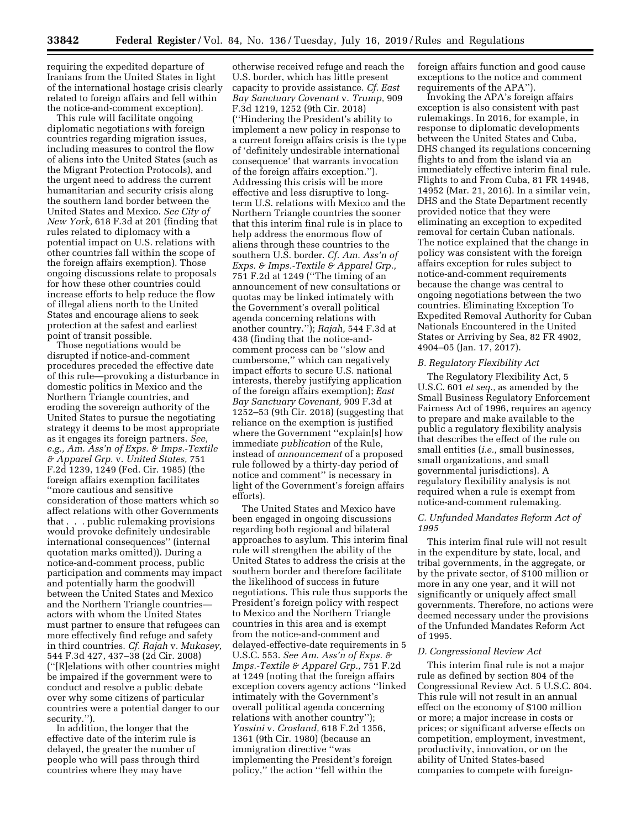requiring the expedited departure of Iranians from the United States in light of the international hostage crisis clearly related to foreign affairs and fell within the notice-and-comment exception).

This rule will facilitate ongoing diplomatic negotiations with foreign countries regarding migration issues, including measures to control the flow of aliens into the United States (such as the Migrant Protection Protocols), and the urgent need to address the current humanitarian and security crisis along the southern land border between the United States and Mexico. *See City of New York,* 618 F.3d at 201 (finding that rules related to diplomacy with a potential impact on U.S. relations with other countries fall within the scope of the foreign affairs exemption). Those ongoing discussions relate to proposals for how these other countries could increase efforts to help reduce the flow of illegal aliens north to the United States and encourage aliens to seek protection at the safest and earliest point of transit possible.

Those negotiations would be disrupted if notice-and-comment procedures preceded the effective date of this rule—provoking a disturbance in domestic politics in Mexico and the Northern Triangle countries, and eroding the sovereign authority of the United States to pursue the negotiating strategy it deems to be most appropriate as it engages its foreign partners. *See, e.g., Am. Ass'n of Exps. & Imps.-Textile & Apparel Grp.* v. *United States,* 751 F.2d 1239, 1249 (Fed. Cir. 1985) (the foreign affairs exemption facilitates ''more cautious and sensitive consideration of those matters which so affect relations with other Governments that . . . public rulemaking provisions would provoke definitely undesirable international consequences'' (internal quotation marks omitted)). During a notice-and-comment process, public participation and comments may impact and potentially harm the goodwill between the United States and Mexico and the Northern Triangle countries actors with whom the United States must partner to ensure that refugees can more effectively find refuge and safety in third countries. *Cf. Rajah* v. *Mukasey,*  544 F.3d 427, 437–38 (2d Cir. 2008) (''[R]elations with other countries might be impaired if the government were to conduct and resolve a public debate over why some citizens of particular countries were a potential danger to our security.'').

In addition, the longer that the effective date of the interim rule is delayed, the greater the number of people who will pass through third countries where they may have

otherwise received refuge and reach the U.S. border, which has little present capacity to provide assistance. *Cf. East Bay Sanctuary Covenant* v. *Trump,* 909 F.3d 1219, 1252 (9th Cir. 2018) (''Hindering the President's ability to implement a new policy in response to a current foreign affairs crisis is the type of 'definitely undesirable international consequence' that warrants invocation of the foreign affairs exception.''). Addressing this crisis will be more effective and less disruptive to longterm U.S. relations with Mexico and the Northern Triangle countries the sooner that this interim final rule is in place to help address the enormous flow of aliens through these countries to the southern U.S. border. *Cf. Am. Ass'n of Exps. & Imps.-Textile & Apparel Grp.,*  751 F.2d at 1249 (''The timing of an announcement of new consultations or quotas may be linked intimately with the Government's overall political agenda concerning relations with another country.''); *Rajah,* 544 F.3d at 438 (finding that the notice-andcomment process can be ''slow and cumbersome,'' which can negatively impact efforts to secure U.S. national interests, thereby justifying application of the foreign affairs exemption); *East Bay Sanctuary Covenant,* 909 F.3d at 1252–53 (9th Cir. 2018) (suggesting that reliance on the exemption is justified where the Government ''explain[s] how immediate *publication* of the Rule, instead of *announcement* of a proposed rule followed by a thirty-day period of notice and comment'' is necessary in light of the Government's foreign affairs efforts).

The United States and Mexico have been engaged in ongoing discussions regarding both regional and bilateral approaches to asylum. This interim final rule will strengthen the ability of the United States to address the crisis at the southern border and therefore facilitate the likelihood of success in future negotiations. This rule thus supports the President's foreign policy with respect to Mexico and the Northern Triangle countries in this area and is exempt from the notice-and-comment and delayed-effective-date requirements in 5 U.S.C. 553. *See Am. Ass'n of Exps. & Imps.-Textile & Apparel Grp.,* 751 F.2d at 1249 (noting that the foreign affairs exception covers agency actions ''linked intimately with the Government's overall political agenda concerning relations with another country''); *Yassini* v. *Crosland,* 618 F.2d 1356, 1361 (9th Cir. 1980) (because an immigration directive ''was implementing the President's foreign policy,'' the action ''fell within the

foreign affairs function and good cause exceptions to the notice and comment requirements of the APA'').

Invoking the APA's foreign affairs exception is also consistent with past rulemakings. In 2016, for example, in response to diplomatic developments between the United States and Cuba, DHS changed its regulations concerning flights to and from the island via an immediately effective interim final rule. Flights to and From Cuba, 81 FR 14948, 14952 (Mar. 21, 2016). In a similar vein, DHS and the State Department recently provided notice that they were eliminating an exception to expedited removal for certain Cuban nationals. The notice explained that the change in policy was consistent with the foreign affairs exception for rules subject to notice-and-comment requirements because the change was central to ongoing negotiations between the two countries. Eliminating Exception To Expedited Removal Authority for Cuban Nationals Encountered in the United States or Arriving by Sea, 82 FR 4902, 4904–05 (Jan. 17, 2017).

# *B. Regulatory Flexibility Act*

The Regulatory Flexibility Act, 5 U.S.C. 601 *et seq.,* as amended by the Small Business Regulatory Enforcement Fairness Act of 1996, requires an agency to prepare and make available to the public a regulatory flexibility analysis that describes the effect of the rule on small entities (*i.e.,* small businesses, small organizations, and small governmental jurisdictions). A regulatory flexibility analysis is not required when a rule is exempt from notice-and-comment rulemaking.

#### *C. Unfunded Mandates Reform Act of 1995*

This interim final rule will not result in the expenditure by state, local, and tribal governments, in the aggregate, or by the private sector, of \$100 million or more in any one year, and it will not significantly or uniquely affect small governments. Therefore, no actions were deemed necessary under the provisions of the Unfunded Mandates Reform Act of 1995.

#### *D. Congressional Review Act*

This interim final rule is not a major rule as defined by section 804 of the Congressional Review Act. 5 U.S.C. 804. This rule will not result in an annual effect on the economy of \$100 million or more; a major increase in costs or prices; or significant adverse effects on competition, employment, investment, productivity, innovation, or on the ability of United States-based companies to compete with foreign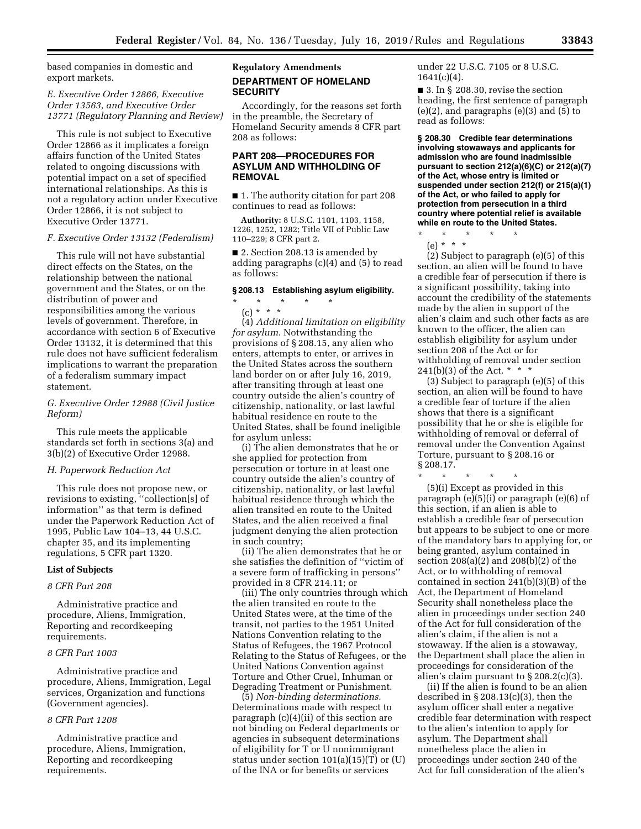based companies in domestic and export markets.

# *E. Executive Order 12866, Executive Order 13563, and Executive Order 13771 (Regulatory Planning and Review)*

This rule is not subject to Executive Order 12866 as it implicates a foreign affairs function of the United States related to ongoing discussions with potential impact on a set of specified international relationships. As this is not a regulatory action under Executive Order 12866, it is not subject to Executive Order 13771.

#### *F. Executive Order 13132 (Federalism)*

This rule will not have substantial direct effects on the States, on the relationship between the national government and the States, or on the distribution of power and responsibilities among the various levels of government. Therefore, in accordance with section 6 of Executive Order 13132, it is determined that this rule does not have sufficient federalism implications to warrant the preparation of a federalism summary impact statement.

# *G. Executive Order 12988 (Civil Justice Reform)*

This rule meets the applicable standards set forth in sections 3(a) and 3(b)(2) of Executive Order 12988.

#### *H. Paperwork Reduction Act*

This rule does not propose new, or revisions to existing, ''collection[s] of information'' as that term is defined under the Paperwork Reduction Act of 1995, Public Law 104–13, 44 U.S.C. chapter 35, and its implementing regulations, 5 CFR part 1320.

#### **List of Subjects**

# *8 CFR Part 208*

Administrative practice and procedure, Aliens, Immigration, Reporting and recordkeeping requirements.

#### *8 CFR Part 1003*

Administrative practice and procedure, Aliens, Immigration, Legal services, Organization and functions (Government agencies).

#### *8 CFR Part 1208*

Administrative practice and procedure, Aliens, Immigration, Reporting and recordkeeping requirements.

# **Regulatory Amendments DEPARTMENT OF HOMELAND SECURITY**

Accordingly, for the reasons set forth in the preamble, the Secretary of Homeland Security amends 8 CFR part 208 as follows:

# **PART 208—PROCEDURES FOR ASYLUM AND WITHHOLDING OF REMOVAL**

■ 1. The authority citation for part 208 continues to read as follows:

**Authority:** 8 U.S.C. 1101, 1103, 1158, 1226, 1252, 1282; Title VII of Public Law 110–229; 8 CFR part 2.

■ 2. Section 208.13 is amended by adding paragraphs (c)(4) and (5) to read as follows:

#### **§ 208.13 Establishing asylum eligibility.**

\* \* \* \* \* (c) \* \* \* (4) *Additional limitation on eligibility for asylum.* Notwithstanding the provisions of § 208.15, any alien who enters, attempts to enter, or arrives in the United States across the southern land border on or after July 16, 2019, after transiting through at least one

country outside the alien's country of citizenship, nationality, or last lawful habitual residence en route to the United States, shall be found ineligible for asylum unless:

(i) The alien demonstrates that he or she applied for protection from persecution or torture in at least one country outside the alien's country of citizenship, nationality, or last lawful habitual residence through which the alien transited en route to the United States, and the alien received a final judgment denying the alien protection in such country;

(ii) The alien demonstrates that he or she satisfies the definition of ''victim of a severe form of trafficking in persons'' provided in 8 CFR 214.11; or

(iii) The only countries through which the alien transited en route to the United States were, at the time of the transit, not parties to the 1951 United Nations Convention relating to the Status of Refugees, the 1967 Protocol Relating to the Status of Refugees, or the United Nations Convention against Torture and Other Cruel, Inhuman or Degrading Treatment or Punishment.

(5) *Non-binding determinations.*  Determinations made with respect to paragraph (c)(4)(ii) of this section are not binding on Federal departments or agencies in subsequent determinations of eligibility for T or U nonimmigrant status under section  $101(a)(15)(T)$  or  $(U)$ of the INA or for benefits or services

under 22 U.S.C. 7105 or 8 U.S.C.  $1641(c)(4)$ .

■ 3. In § 208.30, revise the section heading, the first sentence of paragraph  $(e)(2)$ , and paragraphs  $(e)(3)$  and  $(5)$  to read as follows:

**§ 208.30 Credible fear determinations involving stowaways and applicants for admission who are found inadmissible pursuant to section 212(a)(6)(C) or 212(a)(7) of the Act, whose entry is limited or suspended under section 212(f) or 215(a)(1) of the Act, or who failed to apply for protection from persecution in a third country where potential relief is available while en route to the United States.** 

\* \* \* \* \*

(e) \* \* \* (2) Subject to paragraph (e)(5) of this section, an alien will be found to have a credible fear of persecution if there is a significant possibility, taking into account the credibility of the statements made by the alien in support of the alien's claim and such other facts as are known to the officer, the alien can establish eligibility for asylum under section 208 of the Act or for withholding of removal under section 241(b)(3) of the Act. \* \* \*

(3) Subject to paragraph (e)(5) of this section, an alien will be found to have a credible fear of torture if the alien shows that there is a significant possibility that he or she is eligible for withholding of removal or deferral of removal under the Convention Against Torture, pursuant to § 208.16 or § 208.17.

\* \* \* \* \*

(5)(i) Except as provided in this paragraph (e)(5)(i) or paragraph (e)(6) of this section, if an alien is able to establish a credible fear of persecution but appears to be subject to one or more of the mandatory bars to applying for, or being granted, asylum contained in section 208(a)(2) and 208(b)(2) of the Act, or to withholding of removal contained in section 241(b)(3)(B) of the Act, the Department of Homeland Security shall nonetheless place the alien in proceedings under section 240 of the Act for full consideration of the alien's claim, if the alien is not a stowaway. If the alien is a stowaway, the Department shall place the alien in proceedings for consideration of the alien's claim pursuant to § 208.2(c)(3).

(ii) If the alien is found to be an alien described in  $\S 208.13(c)(3)$ , then the asylum officer shall enter a negative credible fear determination with respect to the alien's intention to apply for asylum. The Department shall nonetheless place the alien in proceedings under section 240 of the Act for full consideration of the alien's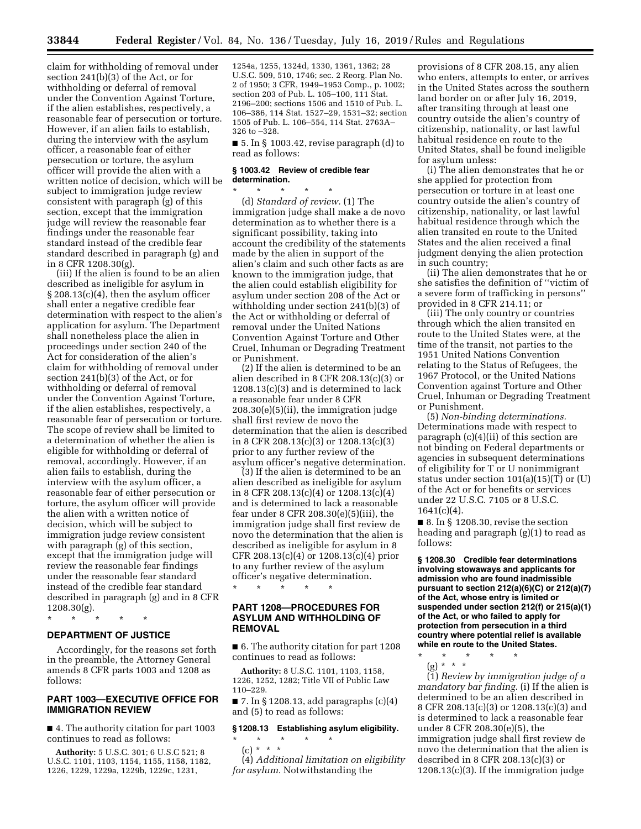claim for withholding of removal under section 241(b)(3) of the Act, or for withholding or deferral of removal under the Convention Against Torture, if the alien establishes, respectively, a reasonable fear of persecution or torture. However, if an alien fails to establish, during the interview with the asylum officer, a reasonable fear of either persecution or torture, the asylum officer will provide the alien with a written notice of decision, which will be subject to immigration judge review consistent with paragraph (g) of this section, except that the immigration judge will review the reasonable fear findings under the reasonable fear standard instead of the credible fear standard described in paragraph (g) and in 8 CFR 1208.30(g).

(iii) If the alien is found to be an alien described as ineligible for asylum in § 208.13(c)(4), then the asylum officer shall enter a negative credible fear determination with respect to the alien's application for asylum. The Department shall nonetheless place the alien in proceedings under section 240 of the Act for consideration of the alien's claim for withholding of removal under section 241(b)(3) of the Act, or for withholding or deferral of removal under the Convention Against Torture, if the alien establishes, respectively, a reasonable fear of persecution or torture. The scope of review shall be limited to a determination of whether the alien is eligible for withholding or deferral of removal, accordingly. However, if an alien fails to establish, during the interview with the asylum officer, a reasonable fear of either persecution or torture, the asylum officer will provide the alien with a written notice of decision, which will be subject to immigration judge review consistent with paragraph (g) of this section, except that the immigration judge will review the reasonable fear findings under the reasonable fear standard instead of the credible fear standard described in paragraph (g) and in 8 CFR 1208.30(g).

# \* \* \* \* \*

# **DEPARTMENT OF JUSTICE**

Accordingly, for the reasons set forth in the preamble, the Attorney General amends 8 CFR parts 1003 and 1208 as follows:

## **PART 1003—EXECUTIVE OFFICE FOR IMMIGRATION REVIEW**

■ 4. The authority citation for part 1003 continues to read as follows:

**Authority:** 5 U.S.C. 301; 6 U.S.C 521; 8 U.S.C. 1101, 1103, 1154, 1155, 1158, 1182, 1226, 1229, 1229a, 1229b, 1229c, 1231,

1254a, 1255, 1324d, 1330, 1361, 1362; 28 U.S.C. 509, 510, 1746; sec. 2 Reorg. Plan No. 2 of 1950; 3 CFR, 1949–1953 Comp., p. 1002; section 203 of Pub. L. 105–100, 111 Stat. 2196–200; sections 1506 and 1510 of Pub. L. 106–386, 114 Stat. 1527–29, 1531–32; section 1505 of Pub. L. 106–554, 114 Stat. 2763A– 326 to –328.

■ 5. In § 1003.42, revise paragraph (d) to read as follows:

# **§ 1003.42 Review of credible fear determination.**

\* \* \* \* \* (d) *Standard of review.* (1) The immigration judge shall make a de novo determination as to whether there is a significant possibility, taking into account the credibility of the statements made by the alien in support of the alien's claim and such other facts as are known to the immigration judge, that the alien could establish eligibility for asylum under section 208 of the Act or withholding under section 241(b)(3) of the Act or withholding or deferral of removal under the United Nations Convention Against Torture and Other Cruel, Inhuman or Degrading Treatment or Punishment.

(2) If the alien is determined to be an alien described in 8 CFR 208.13(c)(3) or 1208.13(c)(3) and is determined to lack a reasonable fear under 8 CFR 208.30(e)(5)(ii), the immigration judge shall first review de novo the determination that the alien is described in 8 CFR 208.13(c)(3) or 1208.13(c)(3) prior to any further review of the asylum officer's negative determination.

(3) If the alien is determined to be an alien described as ineligible for asylum in 8 CFR 208.13(c)(4) or 1208.13(c)(4) and is determined to lack a reasonable fear under 8 CFR 208.30(e)(5)(iii), the immigration judge shall first review de novo the determination that the alien is described as ineligible for asylum in 8 CFR 208.13(c)(4) or 1208.13(c)(4) prior to any further review of the asylum officer's negative determination. \* \* \* \* \*

# **PART 1208—PROCEDURES FOR ASYLUM AND WITHHOLDING OF REMOVAL**

■ 6. The authority citation for part 1208 continues to read as follows:

**Authority:** 8 U.S.C. 1101, 1103, 1158, 1226, 1252, 1282; Title VII of Public Law 110–229.

 $\blacksquare$  7. In § 1208.13, add paragraphs (c)(4) and (5) to read as follows:

#### **§ 1208.13 Establishing asylum eligibility.**

\* \* \* \* \* (c) \* \* \*

(4) *Additional limitation on eligibility for asylum.* Notwithstanding the

provisions of 8 CFR 208.15, any alien who enters, attempts to enter, or arrives in the United States across the southern land border on or after July 16, 2019, after transiting through at least one country outside the alien's country of citizenship, nationality, or last lawful habitual residence en route to the United States, shall be found ineligible for asylum unless:

(i) The alien demonstrates that he or she applied for protection from persecution or torture in at least one country outside the alien's country of citizenship, nationality, or last lawful habitual residence through which the alien transited en route to the United States and the alien received a final judgment denying the alien protection in such country;

(ii) The alien demonstrates that he or she satisfies the definition of ''victim of a severe form of trafficking in persons'' provided in 8 CFR 214.11; or

(iii) The only country or countries through which the alien transited en route to the United States were, at the time of the transit, not parties to the 1951 United Nations Convention relating to the Status of Refugees, the 1967 Protocol, or the United Nations Convention against Torture and Other Cruel, Inhuman or Degrading Treatment or Punishment.

(5) *Non-binding determinations.*  Determinations made with respect to paragraph (c)(4)(ii) of this section are not binding on Federal departments or agencies in subsequent determinations of eligibility for T or U nonimmigrant status under section 101(a)(15)(T) or (U) of the Act or for benefits or services under 22 U.S.C. 7105 or 8 U.S.C. 1641(c)(4).

■ 8. In § 1208.30, revise the section heading and paragraph (g)(1) to read as follows:

**§ 1208.30 Credible fear determinations involving stowaways and applicants for admission who are found inadmissible pursuant to section 212(a)(6)(C) or 212(a)(7) of the Act, whose entry is limited or suspended under section 212(f) or 215(a)(1) of the Act, or who failed to apply for protection from persecution in a third country where potential relief is available while en route to the United States.** 

\* \* \* \* \*

(g) \* \* \*

(1) *Review by immigration judge of a mandatory bar finding.* (i) If the alien is determined to be an alien described in 8 CFR 208.13(c)(3) or 1208.13(c)(3) and is determined to lack a reasonable fear under 8 CFR 208.30(e)(5), the immigration judge shall first review de novo the determination that the alien is described in 8 CFR 208.13(c)(3) or 1208.13(c)(3). If the immigration judge